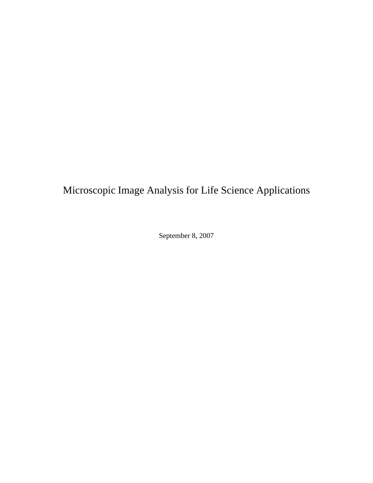# Microscopic Image Analysis for Life Science Applications

September 8, 2007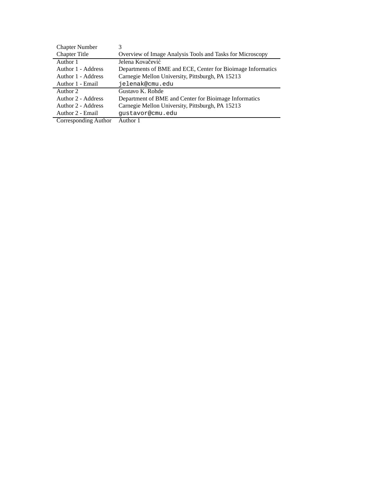| <b>Chapter Number</b> | 3                                                           |
|-----------------------|-------------------------------------------------------------|
| <b>Chapter Title</b>  | Overview of Image Analysis Tools and Tasks for Microscopy   |
| Author 1              | Jelena Kovačević                                            |
| Author 1 - Address    | Departments of BME and ECE, Center for Bioimage Informatics |
| Author 1 - Address    | Carnegie Mellon University, Pittsburgh, PA 15213            |
| Author 1 - Email      | jelenak@cmu.edu                                             |
| Author 2              | Gustavo K. Rohde                                            |
| Author 2 - Address    | Department of BME and Center for Bioimage Informatics       |
| Author 2 - Address    | Carnegie Mellon University, Pittsburgh, PA 15213            |
| Author 2 - Email      | qustavor@cmu.edu                                            |
| Corresponding Author  | Author 1                                                    |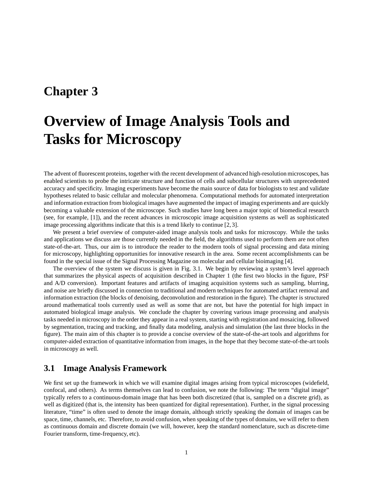## **Chapter 3**

# **Overview of Image Analysis Tools and Tasks for Microscopy**

The advent of fluorescent proteins, together with the recent development of advanced high-resolution microscopes, has enabled scientists to probe the intricate structure and function of cells and subcellular structures with unprecedented accuracy and specificity. Imaging experiments have become the main source of data for biologists to test and validate hypotheses related to basic cellular and molecular phenomena. Computational methods for automated interpretation and information extraction from biological images have augmented the impact of imaging experiments and are quickly becoming a valuable extension of the microscope. Such studies have long been a major topic of biomedical research (see, for example, [1]), and the recent advances in microscopic image acquisition systems as well as sophisticated image processing algorithms indicate that this is a trend likely to continue [2, 3].

We present a brief overview of computer-aided image analysis tools and tasks for microscopy. While the tasks and applications we discuss are those currently needed in the field, the algorithms used to perform them are not often state-of-the-art. Thus, our aim is to introduce the reader to the modern tools of signal processing and data mining for microscopy, highlighting opportunities for innovative research in the area. Some recent accomplishments can be found in the special issue of the Signal Processing Magazine on molecular and cellular bioimaging [4].

The overview of the system we discuss is given in Fig. 3.1. We begin by reviewing a system's level approach that summarizes the physical aspects of acquisition described in Chapter 1 (the first two blocks in the figure, PSF and A/D conversion). Important features and artifacts of imaging acquisition systems such as sampling, blurring, and noise are briefly discussed in connection to traditional and modern techniques for automated artifact removal and information extraction (the blocks of denoising, deconvolution and restoration in the figure). The chapter is structured around mathematical tools currently used as well as some that are not, but have the potential for high impact in automated biological image analysis. We conclude the chapter by covering various image processing and analysis tasks needed in microscopy in the order they appear in a real system, starting with registration and mosaicing, followed by segmentation, tracing and tracking, and finally data modeling, analysis and simulation (the last three blocks in the figure). The main aim of this chapter is to provide a concise overview of the state-of-the-art tools and algorithms for computer-aided extraction of quantitative information from images, in the hope that they become state-of-the-art tools in microscopy as well.

### **3.1 Image Analysis Framework**

We first set up the framework in which we will examine digital images arising from typical microscopes (widefield, confocal, and others). As terms themselves can lead to confusion, we note the following: The term "digital image" typically refers to a continuous-domain image that has been both discretized (that is, sampled on a discrete grid), as well as digitized (that is, the intensity has been quantized for digital representation). Further, in the signal processing literature, "time" is often used to denote the image domain, although strictly speaking the domain of images can be space, time, channels, etc. Therefore, to avoid confusion, when speaking of the types of domains, we will refer to them as continuous domain and discrete domain (we will, however, keep the standard nomenclature, such as discrete-time Fourier transform, time-frequency, etc).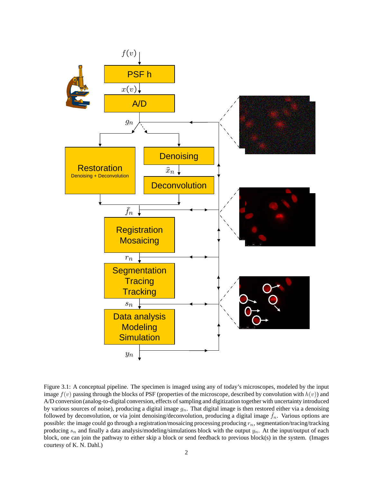

Figure 3.1: A conceptual pipeline. The specimen is imaged using any of today's microscopes, modeled by the input image  $f(v)$  passing through the blocks of PSF (properties of the microscope, described by convolution with  $h(v)$ ) and A/D conversion (analog-to-digital conversion, effects of sampling and digitization together with uncertainty introduced by various sources of noise), producing a digital image  $g_n$ . That digital image is then restored either via a denoising followed by deconvolution, or via joint denoising/deconvolution, producing a digital image  $\hat{f}_n$ . Various options are possible: the image could go through a registration/mosaicing processing producing  $r_n$ , segmentation/tracing/tracking producing  $s_n$  and finally a data analysis/modeling/simulations block with the output  $y_n$ . At the input/output of each block, one can join the pathway to either skip a block or send feedback to previous block(s) in the system. (Images courtesy of K. N. Dahl.)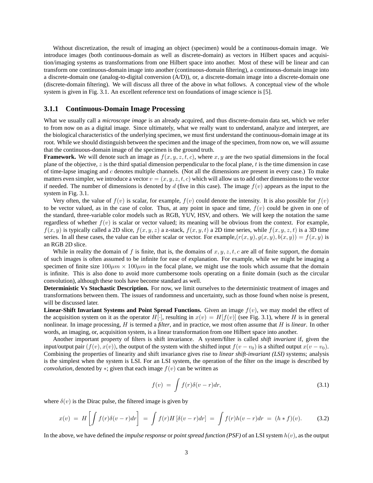Without discretization, the result of imaging an object (specimen) would be a continuous-domain image. We introduce images (both continuous-domain as well as discrete-domain) as vectors in Hilbert spaces and acquisition/imaging systems as transformations from one Hilbert space into another. Most of these will be linear and can transform one continuous-domain image into another (continuous-domain filtering), a continuous-domain image into a discrete-domain one (analog-to-digital conversion (A/D)), or, a discrete-domain image into a discrete-domain one (discrete-domain filtering). We will discuss all three of the above in what follows. A conceptual view of the whole system is given in Fig. 3.1. An excellent reference text on foundations of image science is [5].

#### **3.1.1 Continuous-Domain Image Processing**

What we usually call a *microscope image* is an already acquired, and thus discrete-domain data set, which we refer to from now on as a digital image. Since ultimately, what we really want to understand, analyze and interpret, are the biological characteristics of the underlying specimen, we must first understand the continuous-domain image at its root. While we should distinguish between the specimen and the image of the specimen, from now on, we will assume that the continuous-domain image of the specimen is the ground truth.

**Framework.** We will denote such an image as  $f(x, y, z, t, c)$ , where x, y are the two spatial dimensions in the focal plane of the objective,  $z$  is the third spatial dimension perpendicular to the focal plane,  $t$  is the time dimension in case of time-lapse imaging and  $c$  denotes multiple channels. (Not all the dimensions are present in every case.) To make matters even simpler, we introduce a vector  $v = (x, y, z, t, c)$  which will allow us to add other dimensions to the vector if needed. The number of dimensions is denoted by d (five in this case). The image  $f(v)$  appears as the input to the system in Fig. 3.1.

Very often, the value of  $f(v)$  is scalar, for example,  $f(v)$  could denote the intensity. It is also possible for  $f(v)$ to be vector valued, as in the case of color. Thus, at any point in space and time,  $f(v)$  could be given in one of the standard, three-variable color models such as RGB, YUV, HSV, and others. We will keep the notation the same regardless of whether  $f(v)$  is scalar or vector valued; its meaning will be obvious from the context. For example,  $f(x, y)$  is typically called a 2D slice,  $f(x, y, z)$  a z-stack,  $f(x, y, t)$  a 2D time series, while  $f(x, y, z, t)$  is a 3D time series. In all these cases, the value can be either scalar or vector. For example, $(r(x, y), g(x, y), b(x, y)) = f(x, y)$  is an RGB 2D slice.

While in reality the domain of f is finite, that is, the domains of  $x, y, z, t, c$  are all of finite support, the domain of such images is often assumed to be infinite for ease of explanation. For example, while we might be imaging a specimen of finite size  $100\mu m \times 100\mu m$  in the focal plane, we might use the tools which assume that the domain is infinite. This is also done to avoid more cumbersome tools operating on a finite domain (such as the circular convolution), although these tools have become standard as well.

**Deterministic Vs Stochastic Description.** For now, we limit ourselves to the deterministic treatment of images and transformations between them. The issues of randomness and uncertainty, such as those found when noise is present, will be discussed later.

**Linear-Shift Invariant Systems and Point Spread Functions.** Given an image  $f(v)$ , we may model the effect of the acquisition system on it as the operator  $H[\cdot]$ , resulting in  $x(v) = H[f(v)]$  (see Fig. 3.1), where H is in general nonlinear. In image processing, H is termed a *filter*, and in practice, we most often assume that H is *linear*. In other words, an imaging, or, acquisition system, is a linear transformation from one Hilbert space into another.

Another important property of filters is shift invariance. A system/filter is called *shift invariant* if, given the input/output pair  $(f(v), x(v))$ , the output of the system with the shifted input  $f(v - v_0)$  is a shifted output  $x(v - v_0)$ . Combining the properties of linearity and shift invariance gives rise to *linear shift-invariant (LSI)* systems; analysis is the simplest when the system is LSI. For an LSI system, the operation of the filter on the image is described by *convolution*, denoted by  $*$ ; given that each image  $f(v)$  can be written as

$$
f(v) = \int f(r)\delta(v-r)dr,
$$
\n(3.1)

where  $\delta(v)$  is the Dirac pulse, the filtered image is given by

$$
x(v) = H\left[\int f(r)\delta(v-r)dr\right] = \int f(r)H\left[\delta(v-r)dr\right] = \int f(r)h(v-r)dr = (h*f)(v). \tag{3.2}
$$

In the above, we have defined the *impulse response* or *point spread function* (*PSF*) of an LSI system  $h(v)$ , as the output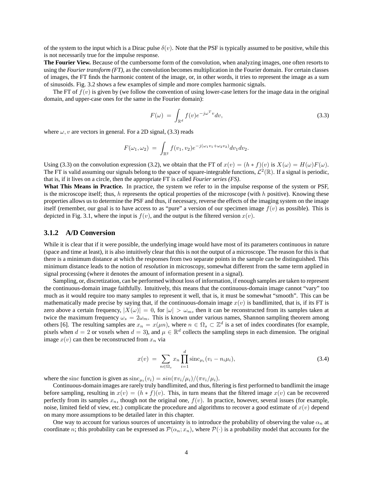of the system to the input which is a Dirac pulse  $\delta(v)$ . Note that the PSF is typically assumed to be positive, while this is not necessarily true for the impulse response.

**The Fourier View.** Because of the cumbersome form of the convolution, when analyzing images, one often resorts to using the *Fourier transform (FT)*, as the convolution becomes multiplication in the Fourier domain. For certain classes of images, the FT finds the harmonic content of the image, or, in other words, it tries to represent the image as a sum of sinusoids. Fig. 3.2 shows a few examples of simple and more complex harmonic signals.

The FT of  $f(v)$  is given by (we follow the convention of using lower-case letters for the image data in the original domain, and upper-case ones for the same in the Fourier domain):

$$
F(\omega) = \int_{\mathbb{R}^d} f(v)e^{-j\omega^T v} dv,
$$
\n(3.3)

where  $\omega$ , v are vectors in general. For a 2D signal, (3.3) reads

$$
F(\omega_1, \omega_2) = \int_{\mathbb{R}^2} f(v_1, v_2) e^{-j(\omega_1 v_1 + \omega_2 v_2)} dv_1 dv_2.
$$

Using (3.3) on the convolution expression (3.2), we obtain that the FT of  $x(v) = (h * f)(v)$  is  $X(\omega) = H(\omega)F(\omega)$ . The FT is valid assuming our signals belong to the space of square-integrable functions,  $\mathcal{L}^2(\mathbb{R})$ . If a signal is periodic, that is, if it lives on a circle, then the appropriate FT is called *Fourier series (FS)*.

**What This Means in Practice.** In practice, the system we refer to in the impulse response of the system or PSF, is the microscope itself; thus, h represents the optical properties of the microscope (with  $h$  positive). Knowing these properties allows us to determine the PSF and thus, if necessary, reverse the effects of the imaging system on the image itself (remember, our goal is to have access to as "pure" a version of our specimen image  $f(v)$  as possible). This is depicted in Fig. 3.1, where the input is  $f(v)$ , and the output is the filtered version  $x(v)$ .

#### **3.1.2 A/D Conversion**

While it is clear that if it were possible, the underlying image would have most of its parameters continuous in nature (space and time at least), it is also intuitively clear that this is not the output of a microscope. The reason for this is that there is a minimum distance at which the responses from two separate points in the sample can be distinguished. This minimum distance leads to the notion of *resolution* in microscopy, somewhat different from the same term applied in signal processing (where it denotes the amount of information present in a signal).

Sampling, or, discretization, can be performed without loss of information, if enough samples are taken to represent the continuous-domain image faithfully. Intuitively, this means that the continuous-domain image cannot "vary" too much as it would require too many samples to represent it well, that is, it must be somewhat "smooth". This can be mathematically made precise by saying that, if the continuous-domain image  $x(v)$  is bandlimited, that is, if its FT is zero above a certain frequency,  $|X(\omega)| = 0$ , for  $|\omega| > \omega_m$ , then it can be reconstructed from its samples taken at twice the maximum frequency  $\omega_s = 2\omega_m$ . This is known under various names, Shannon sampling theorem among others [6]. The resulting samples are  $x_n = x(\mu n)$ , where  $n \in \Omega_s \subset \mathbb{Z}^d$  is a set of index coordinates (for example, pixels when  $d = 2$  or voxels when  $d = 3$ ), and  $\mu \in \mathbb{R}^d$  collects the sampling steps in each dimension. The original image  $x(v)$  can then be reconstructed from  $x_n$  via

$$
x(v) = \sum_{n \in \Omega_s} x_n \prod_{i=1}^d \mathrm{sinc}_{\mu_i}(v_i - n_i \mu_i), \tag{3.4}
$$

where the sinc function is given as  $\text{sinc}_{\mu_i}(v_i) = \sin(\pi v_i/\mu_i)/(\pi v_i/\mu_i)$ .

Continuous-domain images are rarely truly bandlimited, and thus, filtering is first performed to bandlimit the image before sampling, resulting in  $x(v) = (h * f)(v)$ . This, in turn means that the filtered image  $x(v)$  can be recovered perfectly from its samples  $x_n$ , though not the original one,  $f(v)$ . In practice, however, several issues (for example, noise, limited field of view, etc.) complicate the procedure and algorithms to recover a good estimate of  $x(v)$  depend on many more assumptions to be detailed later in this chapter.

One way to account for various sources of uncertainty is to introduce the probability of observing the value  $\alpha_n$  at coordinate n; this probability can be expressed as  $\mathcal{P}(\alpha_n; x_n)$ , where  $\mathcal{P}(\cdot)$  is a probability model that accounts for the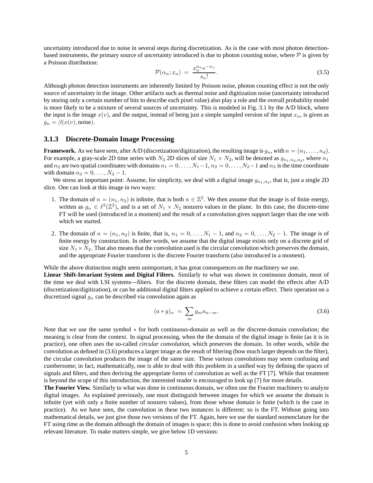uncertainty introduced due to noise in several steps during discretization. As is the case with most photon detectionbased instruments, the primary source of uncertainty introduced is due to photon counting noise, where  $P$  is given by a Poisson distribution:

$$
\mathcal{P}(\alpha_n; x_n) = \frac{x_n^{\alpha_n} e^{-x_n}}{s_n!}.
$$
\n(3.5)

Although photon detection instruments are inherently limited by Poisson noise, photon counting effect is not the only source of uncertainty in the image. Other artifacts such as thermal noise and digitization noise (uncertainty introduced by storing only a certain number of bits to describe each pixel value) also play a role and the overall probability model is more likely to be a mixture of several sources of uncertainty. This is modeled in Fig. 3.1 by the A/D block, where the input is the image  $x(v)$ , and the output, instead of being just a simple sampled version of the input  $x_n$ , is given as  $g_n = \beta(x(v))$ , noise).

#### **3.1.3 Discrete-Domain Image Processing**

**Framework.** As we have seen, after A/D (discretization/digitization), the resulting image is  $g_n$ , with  $n = (n_1, \ldots, n_d)$ . For example, a gray-scale 2D time series with  $N_3$  2D slices of size  $N_1 \times N_2$ , will be denoted as  $g_{n_1,n_2,n_3}$ , where  $n_1$ and  $n_2$  are two spatial coordinates with domains  $n_1 = 0, \ldots, N_1-1, n_2 = 0, \ldots, N_2-1$  and  $n_3$  is the time coordinate with domain  $n_3 = 0, ..., N_3 - 1$ .

We stress an important point: Assume, for simplicity, we deal with a digital image  $g_{n_1,n_2}$ , that is, just a single 2D slice. One can look at this image in two ways:

- 1. The domain of  $n = (n_1, n_2)$  is infinite, that is both  $n \in \mathbb{Z}^2$ . We then assume that the image is of finite energy, written as  $g_n \in \ell^2(\mathbb{Z}^2)$ , and is a set of  $N_1 \times N_2$  nonzero values in the plane. In this case, the discrete-time FT will be used (introduced in a moment) and the result of a convolution gives support larger than the one with which we started.
- 2. The domain of  $n = (n_1, n_2)$  is finite, that is,  $n_1 = 0, \ldots, N_1 1$ , and  $n_2 = 0, \ldots, N_2 1$ . The image is of finite energy by construction. In other words, we assume that the digital image exists only on a discrete grid of size  $N_1 \times N_2$ . That also means that the convolution used is the circular convolution which preserves the domain, and the appropriate Fourier transform is the discrete Fourier transform (also introduced in a moment).

While the above distinction might seem unimportant, it has great consequences on the machinery we use.

**Linear Shift-Invariant System and Digital Filters.** Similarly to what was shown in continuous domain, most of the time we deal with LSI systems—filters. For the discrete domain, these filters can model the effects after A/D (discretization/digitization), or can be additional digital filters applied to achieve a certain effect. Their operation on a discretized signal  $g_n$  can be described via convolution again as

$$
(a * g)n = \sum_{m} gm an-m.
$$
 (3.6)

Note that we use the same symbol ∗ for both continuous-domain as well as the discrete-domain convolution; the meaning is clear from the context. In signal processing, when the the domain of the digital image is finite (as it is in practice), one often uses the so-called *circular convolution*, which preserves the domain. In other words, while the convolution as defined in (3.6) produces a larger image as the result of filtering (how much larger depends on the filter), the circular convolution produces the image of the same size. These various convolutions may seem confusing and cumbersome; in fact, mathematically, one is able to deal with this problem in a unified way by defining the spaces of signals and filters, and then deriving the appropriate forms of convolution as well as the FT [7]. While that treatment is beyond the scope of this introduction, the interested reader is encouraged to look up [7] for more details.

**The Fourier View.** Similarly to what was done in continuous domain, we often use the Fourier machinery to analyze digital images. As explained previously, one must distinguish between images for which we assume the domain is infinite (yet with only a finite number of nonzero values), from those whose domain is finite (which is the case in practice). As we have seen, the convolution in these two instances is different; so is the FT. Without going into mathematical details, we just give those two versions of the FT. Again, here we use the standard nomenclature for the FT using time as the domain although the domain of images is space; this is done to avoid confusion when looking up relevant literature. To make matters simple, we give below 1D versions: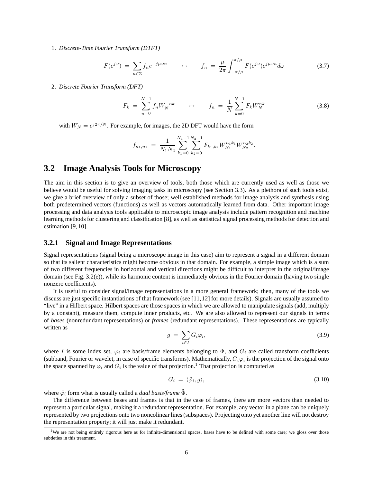1. *Discrete-Time Fourier Transform (DTFT)*

$$
F(e^{j\omega}) = \sum_{n \in \mathbb{Z}} f_n e^{-j\mu\omega n} \qquad \leftrightarrow \qquad f_n = \frac{\mu}{2\pi} \int_{-\pi/\mu}^{\pi/\mu} F(e^{j\omega}) e^{j\mu\omega n} d\omega \tag{3.7}
$$

2. *Discrete Fourier Transform (DFT)*

$$
F_k = \sum_{n=0}^{N-1} f_n W_N^{-nk} \qquad \leftrightarrow \qquad f_n = \frac{1}{N} \sum_{k=0}^{N-1} F_k W_N^{nk} \tag{3.8}
$$

with  $W_N = e^{j2\pi/N}$ . For example, for images, the 2D DFT would have the form

$$
f_{n_1,n_2} = \frac{1}{N_1 N_2} \sum_{k_1=0}^{N_1-1} \sum_{k_2=0}^{N_2-1} F_{k_1,k_2} W_{N_1}^{n_1 k_1} W_{N_2}^{n_2 k_2}.
$$

### **3.2 Image Analysis Tools for Microscopy**

The aim in this section is to give an overview of tools, both those which are currently used as well as those we believe would be useful for solving imaging tasks in microscopy (see Section 3.3). As a plethora of such tools exist, we give a brief overview of only a subset of those; well established methods for image analysis and synthesis using both predetermined vectors (functions) as well as vectors automatically learned from data. Other important image processing and data analysis tools applicable to microscopic image analysis include pattern recognition and machine learning methods for clustering and classification [8], as well as statistical signal processing methods for detection and estimation [9, 10].

#### **3.2.1 Signal and Image Representations**

Signal representations (signal being a microscope image in this case) aim to represent a signal in a different domain so that its salient characteristics might become obvious in that domain. For example, a simple image which is a sum of two different frequencies in horizontal and vertical directions might be difficult to interpret in the original/image domain (see Fig. 3.2(e)), while its harmonic content is immediately obvious in the Fourier domain (having two single nonzero coefficients).

It is useful to consider signal/image representations in a more general framework; then, many of the tools we discuss are just specific instantiations of that framework (see [11,12] for more details). Signals are usually assumed to "live" in a Hilbert space. Hilbert spaces are those spaces in which we are allowed to manipulate signals (add, multiply by a constant), measure them, compute inner products, etc. We are also allowed to represent our signals in terms of *bases* (nonredundant representations) or *frames* (redundant representations). These representations are typically written as

$$
g = \sum_{i \in I} G_i \varphi_i,\tag{3.9}
$$

where I is some index set,  $\varphi_i$  are basis/frame elements belonging to  $\Phi$ , and  $G_i$  are called transform coefficients (subband, Fourier or wavelet, in case of specific transforms). Mathematically,  $G_i\varphi_i$  is the projection of the signal onto the space spanned by  $\varphi_i$  and  $G_i$  is the value of that projection.<sup>1</sup> That projection is computed as

$$
G_i = \langle \tilde{\varphi}_i, g \rangle, \tag{3.10}
$$

where  $\tilde{\varphi}_i$  form what is usually called a *dual basis/frame*  $\tilde{\Phi}$ .

The difference between bases and frames is that in the case of frames, there are more vectors than needed to represent a particular signal, making it a redundant representation. For example, any vector in a plane can be uniquely represented by two projections onto two noncolinear lines (subspaces). Projecting onto yet another line will not destroy the representation property; it will just make it redundant.

<sup>&</sup>lt;sup>1</sup>We are not being entirely rigorous here as for infinite-dimensional spaces, bases have to be defined with some care; we gloss over those subtleties in this treatment.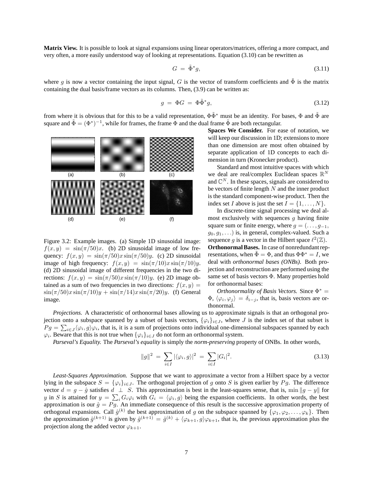**Matrix View.** It is possible to look at signal expansions using linear operators/matrices, offering a more compact, and very often, a more easily understood way of looking at representations. Equation (3.10) can be rewritten as

$$
G = \tilde{\Phi}^* g,\tag{3.11}
$$

where g is now a vector containing the input signal, G is the vector of transform coefficients and  $\Phi$  is the matrix containing the dual basis/frame vectors as its columns. Then, (3.9) can be written as:

$$
g = \Phi G = \Phi \tilde{\Phi}^* g,\tag{3.12}
$$

from where it is obvious that for this to be a valid representation,  $\Phi \bar{\Phi}^*$  must be an identity. For bases,  $\Phi$  and  $\bar{\Phi}$  are square and  $\tilde{\Phi} = (\Phi^*)^{-1}$ , while for frames, the frame  $\Phi$  and the dual frame  $\tilde{\Phi}$  are both rectangular.



Figure 3.2: Example images. (a) Simple 1D sinusoidal image:  $f(x, y) = \sin(\pi/50)x$ . (b) 2D sinusoidal image of low frequency:  $f(x, y) = \sin(\pi/50)x \sin(\pi/50)y$ . (c) 2D sinusoidal image of high frequency:  $f(x, y) = \sin(\pi/10)x \sin(\pi/10)y$ . (d) 2D sinusoidal image of different frequencies in the two directions:  $f(x, y) = \sin(\pi/50)x \sin(\pi/10)y$ . (e) 2D image obtained as a sum of two frequencies in two directions:  $f(x, y) =$  $\sin(\pi/50)x\sin(\pi/10)y + \sin(\pi/14)x\sin(\pi/20)y$ . (f) General image.

**Spaces We Consider.** For ease of notation, we will keep our discussion in 1D; extensions to more than one dimension are most often obtained by separate application of 1D concepts to each dimension in turn (Kronecker product).

Standard and most intuitive spaces with which we deal are real/complex Euclidean spaces  $\mathbb{R}^N$ and  $\mathbb{C}^N$ . In these spaces, signals are considered to be vectors of finite length  $N$  and the inner product is the standard component-wise product. Then the index set I above is just the set  $I = \{1, \ldots, N\}$ .

In discrete-time signal processing we deal almost exclusively with sequences  $q$  having finite square sum or finite energy, where  $q = (..., q_{-1},$  $g_0, g_1, \ldots$ ) is, in general, complex-valued. Such a sequence g is a vector in the Hilbert space  $\ell^2(\mathbb{Z})$ . **Orthonormal Bases.** In case of nonredundant representations, when  $\tilde{\Phi} = \Phi$ , and thus  $\Phi \Phi^* = I$ , we deal with *orthonormal bases (ONBs)*. Both projection and reconstruction are performed using the same set of basis vectors Φ. Many properties hold

*Orthonormality of Basis Vectors.* Since  $\Phi^* =$  $\Phi$ ,  $\langle \varphi_i, \varphi_j \rangle = \delta_{i-j}$ , that is, basis vectors are orthonormal.

*Projections.* A characteristic of orthonormal bases allowing us to approximate signals is that an orthogonal projection onto a subspace spanned by a subset of basis vectors,  $\{\varphi_i\}_{i\in J}$ , where J is the index set of that subset is  $Pg = \sum_{i \in J} \langle \varphi_i, g \rangle \varphi_i$ , that is, it is a sum of projections onto individual one-dimensional subspaces spanned by each  $\varphi_i$ . Beware that this is not true when  $\{\varphi_i\}_{i\in J}$  do not form an orthonormal system.

*Parseval's Equality.* The *Parseval's equality* is simply the *norm-preserving* property of ONBs. In other words,

$$
||g||^2 = \sum_{i \in I} |\langle \varphi_i, g \rangle|^2 = \sum_{i \in I} |G_i|^2.
$$
 (3.13)

for orthonormal bases:

*Least-Squares Approximation.* Suppose that we want to approximate a vector from a Hilbert space by a vector lying in the subspace  $S = \{\varphi_i\}_{i \in J}$ . The orthogonal projection of g onto S is given earlier by Pg. The difference vector  $d = g - \hat{g}$  satisfies  $d \perp S$ . This approximation is best in the least-squares sense, that is, min  $||g - y||$  for y in S is attained for  $y = \sum_i G_i \varphi_i$  with  $G_i = \langle \varphi_i, g \rangle$  being the expansion coefficients. In other words, the best approximation is our  $\hat{g} = Pg$ . An immediate consequence of this result is the successive approximation property of orthogonal expansions. Call  $\hat{g}^{(k)}$  the best approximation of g on the subspace spanned by  $\{\varphi_1, \varphi_2, \dots, \varphi_k\}$ . Then the approximation  $\hat{g}^{(k+1)}$  is given by  $\hat{g}^{(k+1)} = \hat{g}^{(k)} + \langle \varphi_{k+1}, g \rangle \varphi_{k+1}$ , that is, the previous approximation plus the projection along the added vector  $\varphi_{k+1}$ .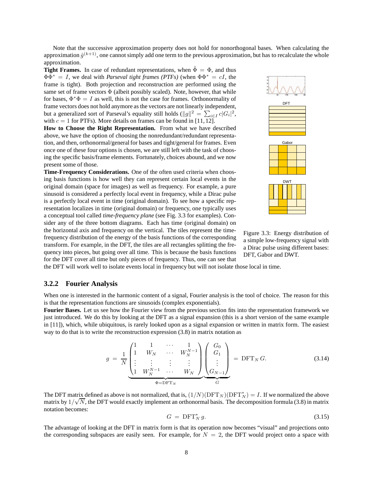Note that the successive approximation property does not hold for nonorthogonal bases. When calculating the approximation  $\hat{g}^{(k+1)}$ , one cannot simply add one term to the previous approximation, but has to recalculate the whole approximation.

**Tight Frames.** In case of redundant representations, when  $\tilde{\Phi} = \Phi$ , and thus  $\Phi \Phi^* = I$ , we deal with *Parseval tight frames (PTFs)* (when  $\Phi \Phi^* = cI$ , the frame is tight). Both projection and reconstruction are performed using the same set of frame vectors  $\Phi$  (albeit possibly scaled). Note, however, that while for bases,  $\Phi^* \Phi = I$  as well, this is not the case for frames. Orthonormality of frame vectors does not hold anymore as the vectors are not linearly independent, but a generalized sort of Parseval's equality still holds ( $||g||^2 = \sum_{i \in I} c|G_i|^2$ , with  $c = 1$  for PTFs). More details on frames can be found in [11, 12].

**How to Choose the Right Representation.** From what we have described above, we have the option of choosing the nonredundant/redundant representation, and then, orthonormal/general for bases and tight/general for frames. Even once one of these four options is chosen, we are still left with the task of choosing the specific basis/frame elements. Fortunately, choices abound, and we now present some of those.

**Time-Frequency Considerations.** One of the often used criteria when choosing basis functions is how well they can represent certain local events in the original domain (space for images) as well as frequency. For example, a pure sinusoid is considered a perfectly local event in frequency, while a Dirac pulse is a perfectly local event in time (original domain). To see how a specific representation localizes in time (original domain) or frequency, one typically uses a conceptual tool called *time-frequency plane* (see Fig. 3.3 for examples). Consider any of the three bottom diagrams. Each has time (original domain) on the horizontal axis and frequency on the vertical. The tiles represent the timefrequency distribution of the energy of the basis functions of the corresponding transform. For example, in the DFT, the tiles are all rectangles splitting the frequency into pieces, but going over all time. This is because the basis functions for the DFT cover all time but only pieces of frequency. Thus, one can see that



Figure 3.3: Energy distribution of a simple low-frequency signal with a Dirac pulse using different bases: DFT, Gabor and DWT.

the DFT will work well to isolate events local in frequency but will not isolate those local in time.

#### **3.2.2 Fourier Analysis**

When one is interested in the harmonic content of a signal, Fourier analysis is the tool of choice. The reason for this is that the representation functions are sinusoids (complex exponentials).

**Fourier Bases.** Let us see how the Fourier view from the previous section fits into the representation framework we just introduced. We do this by looking at the DFT as a signal expansion (this is a short version of the same example in [11]), which, while ubiquitous, is rarely looked upon as a signal expansion or written in matrix form. The easiest way to do that is to write the reconstruction expression (3.8) in matrix notation as

$$
g = \frac{1}{N} \underbrace{\begin{pmatrix} 1 & 1 & \cdots & 1 \\ 1 & W_N & \cdots & W_N^{N-1} \\ \vdots & \vdots & \vdots & \vdots \\ 1 & W_N^{N-1} & \cdots & W_N \end{pmatrix}}_{\Phi = \text{DFT}_N} \underbrace{\begin{pmatrix} G_0 \\ G_1 \\ \vdots \\ G_{N-1} \end{pmatrix}}_{G} = \text{DFT}_N G. \tag{3.14}
$$

The DFT matrix defined as above is not normalized, that is,  $(1/N)(DFT_N)(DFT_N^*) = I$ . If we normalized the above matrix by  $1/\sqrt{N}$ , the DFT would exactly implement an orthonormal basis. The decomposition formula (3.8) in matrix notation becomes:

$$
G = \text{DFT}_N^* g. \tag{3.15}
$$

The advantage of looking at the DFT in matrix form is that its operation now becomes "visual" and projections onto the corresponding subspaces are easily seen. For example, for  $N = 2$ , the DFT would project onto a space with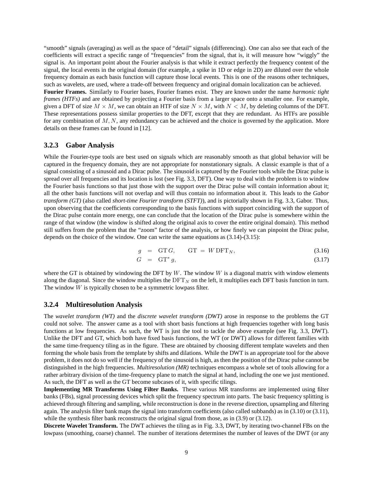"smooth" signals (averaging) as well as the space of "detail" signals (differencing). One can also see that each of the coefficients will extract a specific range of "frequencies" from the signal, that is, it will measure how "wiggly" the signal is. An important point about the Fourier analysis is that while it extract perfectly the frequency content of the signal, the local events in the original domain (for example, a spike in 1D or edge in 2D) are diluted over the whole frequency domain as each basis function will capture those local events. This is one of the reasons other techniques, such as wavelets, are used, where a trade-off between frequency and original domain localization can be achieved.

**Fourier Frames.** Similarly to Fourier bases, Fourier frames exist. They are known under the name *harmonic tight frames (HTFs)* and are obtained by projecting a Fourier basis from a larger space onto a smaller one. For example, given a DFT of size  $M \times M$ , we can obtain an HTF of size  $N \times M$ , with  $N \times M$ , by deleting columns of the DFT. These representations possess similar properties to the DFT, except that they are redundant. As HTFs are possible for any combination of  $M, N$ , any redundancy can be achieved and the choice is governed by the application. More details on these frames can be found in [12].

#### **3.2.3 Gabor Analysis**

While the Fourier-type tools are best used on signals which are reasonably smooth as that global behavior will be captured in the frequency domain, they are not appropriate for nonstationary signals. A classic example is that of a signal consisting of a sinusoid and a Dirac pulse. The sinusoid is captured by the Fourier tools while the Dirac pulse is spread over all frequencies and its location is lost (see Fig. 3.3, DFT). One way to deal with the problem is to window the Fourier basis functions so that just those with the support over the Dirac pulse will contain information about it; all the other basis functions will not overlap and will thus contain no information about it. This leads to the *Gabor transform (GT)* (also called *short-time Fourier transform (STFT)*), and is pictorially shown in Fig. 3.3, Gabor. Thus, upon observing that the coefficients corresponding to the basis functions with support coinciding with the support of the Dirac pulse contain more energy, one can conclude that the location of the Dirac pulse is somewhere within the range of that window (the window is shifted along the original axis to cover the entire original domain). This method still suffers from the problem that the "zoom" factor of the analysis, or how finely we can pinpoint the Dirac pulse, depends on the choice of the window. One can write the same equations as (3.14)-(3.15):

$$
g = GT G, \qquad GT = W DFT_N, \tag{3.16}
$$

$$
G = GT^* g,
$$
\n
$$
(3.17)
$$

where the GT is obtained by windowing the DFT by  $W$ . The window  $W$  is a diagonal matrix with window elements along the diagonal. Since the window multiplies the  $\text{DFT}_N$  on the left, it multiplies each DFT basis function in turn. The window  $W$  is typically chosen to be a symmetric lowpass filter.

#### **3.2.4 Multiresolution Analysis**

The *wavelet transform (WT)* and the *discrete wavelet transform (DWT)* arose in response to the problems the GT could not solve. The answer came as a tool with short basis functions at high frequencies together with long basis functions at low frequencies. As such, the WT is just the tool to tackle the above example (see Fig. 3.3, DWT). Unlike the DFT and GT, which both have fixed basis functions, the WT (or DWT) allows for different families with the same time-frequency tiling as in the figure. These are obtained by choosing different template wavelets and then forming the whole basis from the template by shifts and dilations. While the DWT is an appropriate tool for the above problem, it does not do so well if the frequency of the sinusoid is high, as then the position of the Dirac pulse cannot be distinguished in the high frequencies. *Multiresolution (MR)* techniques encompass a whole set of tools allowing for a rather arbitrary division of the time-frequency plane to match the signal at hand, including the one we just mentioned. As such, the DFT as well as the GT become subcases of it, with specific tilings.

**Implementing MR Transforms Using Filter Banks.** These various MR transforms are implemented using filter banks (FBs), signal processing devices which split the frequency spectrum into parts. The basic frequency splitting is achieved through filtering and sampling, while reconstruction is done in the reverse direction, upsampling and filtering again. The analysis filter bank maps the signal into transform coefficients (also called subbands) as in (3.10) or (3.11), while the synthesis filter bank reconstructs the original signal from those, as in (3.9) or (3.12).

**Discrete Wavelet Transform.** The DWT achieves the tiling as in Fig. 3.3, DWT, by iterating two-channel FBs on the lowpass (smoothing, coarse) channel. The number of iterations determines the number of leaves of the DWT (or any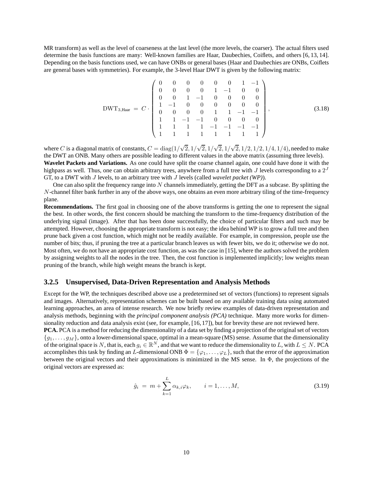MR transform) as well as the level of coarseness at the last level (the more levels, the coarser). The actual filters used determine the basis functions are many: Well-known families are Haar, Daubechies, Coiflets, and others [6, 13, 14]. Depending on the basis functions used, we can have ONBs or general bases (Haar and Daubechies are ONBs, Coiflets are general bases with symmetries). For example, the 3-level Haar DWT is given by the following matrix:

$$
DWT_{3,Haar} = C \cdot \begin{pmatrix} 0 & 0 & 0 & 0 & 0 & 0 & 1 & -1 \\ 0 & 0 & 0 & 0 & 1 & -1 & 0 & 0 \\ 0 & 0 & 1 & -1 & 0 & 0 & 0 & 0 \\ 1 & -1 & 0 & 0 & 0 & 0 & 0 & 0 \\ 0 & 0 & 0 & 0 & 1 & 1 & -1 & -1 \\ 1 & 1 & -1 & -1 & 0 & 0 & 0 & 0 \\ 1 & 1 & 1 & 1 & 1 & 1 & 1 & 1 \end{pmatrix}, \tag{3.18}
$$

where C is a diagonal matrix of constants,  $C = diag(1/\sqrt{2}, 1/\sqrt{2}, 1/\sqrt{2}, 1/\sqrt{2}, 1/2, 1/2, 1/4, 1/4)$ , needed to make the DWT an ONB. Many others are possible leading to different values in the above matrix (assuming three levels).

**Wavelet Packets and Variations.** As one could have split the coarse channel again, one could have done it with the highpass as well. Thus, one can obtain arbitrary trees, anywhere from a full tree with J levels corresponding to a  $2^J$ GT, to a DWT with J levels, to an arbitrary tree with J levels (called *wavelet packet (WP)*).

One can also split the frequency range into  $N$  channels immediately, getting the DFT as a subcase. By splitting the N-channel filter bank further in any of the above ways, one obtains an even more arbitrary tiling of the time-frequency plane.

**Recommendations.** The first goal in choosing one of the above transforms is getting the one to represent the signal the best. In other words, the first concern should be matching the transform to the time-frequency distribution of the underlying signal (image). After that has been done successfully, the choice of particular filters and such may be attempted. However, choosing the appropriate transform is not easy; the idea behind WP is to grow a full tree and then prune back given a cost function, which might not be readily available. For example, in compression, people use the number of bits; thus, if pruning the tree at a particular branch leaves us with fewer bits, we do it; otherwise we do not. Most often, we do not have an appropriate cost function, as was the case in [15], where the authors solved the problem by assigning weights to all the nodes in the tree. Then, the cost function is implemented implicitly; low weights mean pruning of the branch, while high weight means the branch is kept.

#### **3.2.5 Unsupervised, Data-Driven Representation and Analysis Methods**

Except for the WP, the techniques described above use a predetermined set of vectors (functions) to represent signals and images. Alternatively, representation schemes can be built based on any available training data using automated learning approaches, an area of intense research. We now briefly review examples of data-driven representation and analysis methods, beginning with the *principal component analysis (PCA)* technique. Many more works for dimensionality reduction and data analysis exist (see, for example, [16, 17]), but for brevity these are not reviewed here.

**PCA.** PCA is a method for reducing the dimensionality of a data set by finding a projection of the original set of vectors  ${g_1, \ldots, g_M}$ , onto a lower-dimensional space, optimal in a mean-square (MS) sense. Assume that the dimensionality of the original space is N, that is, each  $g_i \in \mathbb{R}^N$ , and that we want to reduce the dimensionality to L, with  $L \le N$ . PCA accomplishes this task by finding an L-dimensional ONB  $\Phi = {\varphi_1, \ldots, \varphi_L}$ , such that the error of the approximation between the original vectors and their approximations is minimized in the MS sense. In  $\Phi$ , the projections of the original vectors are expressed as:

$$
\hat{g}_i = m + \sum_{k=1}^{L} \alpha_{k,i} \varphi_k, \qquad i = 1, ..., M,
$$
\n(3.19)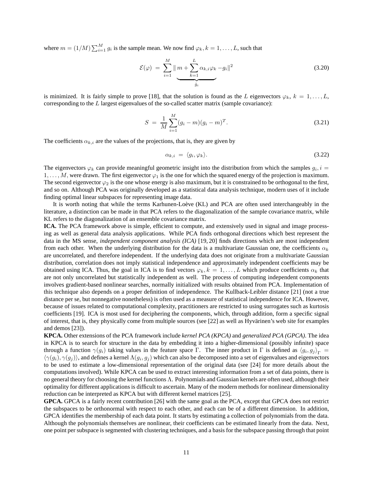where  $m = (1/M) \sum_{i=1}^{M} g_i$  is the sample mean. We now find  $\varphi_k, k = 1, \ldots, L$ , such that

$$
\mathcal{E}(\varphi) = \sum_{i=1}^{M} \|\underbrace{m + \sum_{k=1}^{L} \alpha_{k,i} \varphi_k - g_i\|^2}_{\hat{g}_i}
$$
\n(3.20)

is minimized. It is fairly simple to prove [18], that the solution is found as the L eigenvectors  $\varphi_k$ ,  $k = 1, \ldots, L$ , corresponding to the  $L$  largest eigenvalues of the so-called scatter matrix (sample covariance):

$$
S = \frac{1}{M} \sum_{i=1}^{M} (g_i - m)(g_i - m)^T.
$$
\n(3.21)

The coefficients  $\alpha_{k,i}$  are the values of the projections, that is, they are given by

$$
\alpha_{k,i} = \langle g_i, \varphi_k \rangle. \tag{3.22}
$$

The eigenvectors  $\varphi_k$  can provide meaningful geometric insight into the distribution from which the samples  $g_i$ ,  $i =$  $1, \ldots, M$ , were drawn. The first eigenvector  $\varphi_1$  is the one for which the squared energy of the projection is maximum. The second eigenvector  $\varphi_2$  is the one whose energy is also maximum, but it is constrained to be orthogonal to the first, and so on. Although PCA was originally developed as a statistical data analysis technique, modern uses of it include finding optimal linear subspaces for representing image data.

It is worth noting that while the terms Karhunen-Loève (KL) and PCA are often used interchangeably in the literature, a distinction can be made in that PCA refers to the diagonalization of the sample covariance matrix, while KL refers to the diagonalization of an ensemble covariance matrix.

**ICA.** The PCA framework above is simple, efficient to compute, and extensively used in signal and image processing as well as general data analysis applications. While PCA finds orthogonal directions which best represent the data in the MS sense, *independent component analysis (ICA)* [19, 20] finds directions which are most independent from each other. When the underlying distribution for the data is a multivariate Gaussian one, the coefficients  $\alpha_k$ are uncorrelated, and therefore independent. If the underlying data does not originate from a multivariate Gaussian distribution, correlation does not imply statistical independence and approximately independent coefficients may be obtained using ICA. Thus, the goal in ICA is to find vectors  $\varphi_k$ ,  $k = 1, \ldots, L$  which produce coefficients  $\alpha_k$  that are not only uncorrelated but statistically independent as well. The process of computing independent components involves gradient-based nonlinear searches, normally initialized with results obtained from PCA. Implementation of this technique also depends on a proper definition of independence. The Kullback-Leibler distance [21] (not a true distance per se, but nonnegative nonetheless) is often used as a measure of statistical independence for ICA. However, because of issues related to computational complexity, practitioners are restricted to using surrogates such as kurtosis coefficients [19]. ICA is most used for deciphering the components, which, through addition, form a specific signal of interest, that is, they physically come from multiple sources (see [22] as well as Hyvärinen's web site for examples and demos [23]).

**KPCA.** Other extensions of the PCA framework include *kernel PCA (KPCA)* and *generalized PCA (GPCA)*. The idea in KPCA is to search for structure in the data by embedding it into a higher-dimensional (possibly infinite) space through a function  $\gamma(g_i)$  taking values in the feature space  $\Gamma$ . The inner product in  $\Gamma$  is defined as  $\langle g_i, g_j \rangle_{\Gamma} =$  $\langle \gamma(g_i), \gamma(g_j) \rangle$ , and defines a kernel  $\Lambda(g_i, g_j)$  which can also be decomposed into a set of eigenvalues and eigenvectors to be used to estimate a low-dimensional representation of the original data (see [24] for more details about the computations involved). While KPCA can be used to extract interesting information from a set of data points, there is no general theory for choosing the kernel functions Λ. Polynomials and Gaussian kernels are often used, although their optimality for different applications is difficult to ascertain. Many of the modern methods for nonlinear dimensionality reduction can be interpreted as KPCA but with different kernel matrices [25].

**GPCA.** GPCA is a fairly recent contribution [26] with the same goal as the PCA, except that GPCA does not restrict the subspaces to be orthonormal with respect to each other, and each can be of a different dimension. In addition, GPCA identifies the membership of each data point. It starts by estimating a collection of polynomials from the data. Although the polynomials themselves are nonlinear, their coefficients can be estimated linearly from the data. Next, one point per subspace is segmented with clustering techniques, and a basis for the subspace passing through that point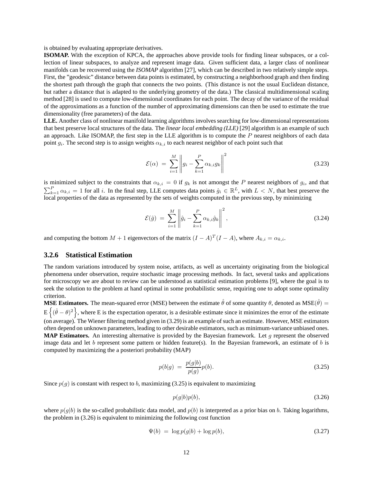is obtained by evaluating appropriate derivatives.

**ISOMAP.** With the exception of KPCA, the approaches above provide tools for finding linear subspaces, or a collection of linear subspaces, to analyze and represent image data. Given sufficient data, a larger class of nonlinear manifolds can be recovered using the *ISOMAP* algorithm [27], which can be described in two relatively simple steps. First, the "geodesic" distance between data points is estimated, by constructing a neighborhood graph and then finding the shortest path through the graph that connects the two points. (This distance is not the usual Euclidean distance, but rather a distance that is adapted to the underlying geometry of the data.) The classical multidimensional scaling method [28] is used to compute low-dimensional coordinates for each point. The decay of the variance of the residual of the approximations as a function of the number of approximating dimensions can then be used to estimate the true dimensionality (free parameters) of the data.

**LLE.** Another class of nonlinear manifold learning algorithms involves searching for low-dimensional representations that best preserve local structures of the data. The *linear local embedding (LLE)* [29] algorithm is an example of such an approach. Like ISOMAP, the first step in the LLE algorithm is to compute the  $P$  nearest neighbors of each data point  $g_i$ . The second step is to assign weights  $\alpha_{k,i}$  to each nearest neighbor of each point such that

$$
\mathcal{E}(\alpha) = \sum_{i=1}^{M} \left\| g_i - \sum_{k=1}^{P} \alpha_{k,i} g_k \right\|^2 \tag{3.23}
$$

is minimized subject to the constraints that  $\alpha_{k,i} = 0$  if  $g_k$  is not amongst the P nearest neighbors of  $g_i$ , and that  $\sum_{k=1}^{P} \alpha_{k,i} = 1$  for all i. In the final step, LLE computes data points  $\hat{g}_i \in \mathbb{R}^L$ , with  $L < N$ , that best preserve the  $\sum_{k=1}^{\infty}$  here is of the data as represented by the sets of weights computed in the previous step, by minimizing

$$
\mathcal{E}(\hat{g}) = \sum_{i=1}^{M} \left\| \hat{g}_i - \sum_{k=1}^{P} \alpha_{k,i} \hat{g}_k \right\|^2, \qquad (3.24)
$$

and computing the bottom  $M + 1$  eigenvectors of the matrix  $(I - A)^{T}(I - A)$ , where  $A_{k,i} = \alpha_{k,i}$ .

#### **3.2.6 Statistical Estimation**

The random variations introduced by system noise, artifacts, as well as uncertainty originating from the biological phenomena under observation, require stochastic image processing methods. In fact, several tasks and applications for microscopy we are about to review can be understood as statistical estimation problems [9], where the goal is to seek the solution to the problem at hand optimal in some probabilistic sense, requiring one to adopt some optimality criterion.

**MSE Estimators.** The mean-squared error (MSE) between the estimate  $\hat{\theta}$  of some quantity  $\theta$ , denoted as  $MSE(\hat{\theta}) =$  $E\left\{(\hat{\theta}-\theta)^2\right\}$ , where E is the expectation operator, is a desirable estimate since it minimizes the error of the estimate (on average). The Wiener filtering method given in (3.29) is an example of such an estimate. However, MSE estimators often depend on unknown parameters, leading to other desirable estimators, such as minimum-variance unbiased ones. **MAP Estimators.** An interesting alternative is provided by the Bayesian framework. Let g represent the observed image data and let b represent some pattern or hidden feature(s). In the Bayesian framework, an estimate of b is computed by maximizing the a posteriori probability (MAP)

$$
p(b|g) = \frac{p(g|b)}{p(g)}p(b).
$$
\n(3.25)

Since  $p(g)$  is constant with respect to b, maximizing (3.25) is equivalent to maximizing

$$
p(g|b)p(b), \tag{3.26}
$$

where  $p(q|b)$  is the so-called probabilistic data model, and  $p(b)$  is interpreted as a prior bias on b. Taking logarithms, the problem in (3.26) is equivalent to minimizing the following cost function

$$
\Psi(b) = \log p(g|b) + \log p(b),\tag{3.27}
$$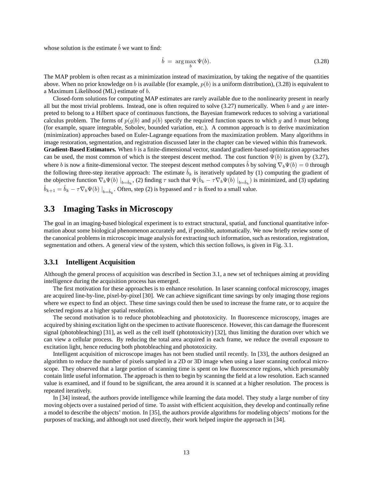whose solution is the estimate  $\hat{b}$  we want to find:

$$
\hat{b} = \arg \max_{b} \Psi(b). \tag{3.28}
$$

The MAP problem is often recast as a minimization instead of maximization, by taking the negative of the quantities above. When no prior knowledge on b is available (for example,  $p(b)$  is a uniform distribution), (3.28) is equivalent to a Maximum Likelihood (ML) estimate of b.

Closed-form solutions for computing MAP estimates are rarely available due to the nonlinearity present in nearly all but the most trivial problems. Instead, one is often required to solve  $(3.27)$  numerically. When b and q are interpreted to belong to a Hilbert space of continuous functions, the Bayesian framework reduces to solving a variational calculus problem. The forms of  $p(g|b)$  and  $p(b)$  specify the required function spaces to which g and b must belong (for example, square integrable, Sobolev, bounded variation, etc.). A common approach is to derive maximization (minimization) approaches based on Euler-Lagrange equations from the maximization problem. Many algorithms in image restoration, segmentation, and registration discussed later in the chapter can be viewed within this framework. **Gradient-Based Estimators.** When b is a finite-dimensional vector, standard gradient-based optimization approaches can be used, the most common of which is the steepest descent method. The cost function  $\Psi(b)$  is given by (3.27), where b is now a finite-dimensional vector. The steepest descent method computes  $\hat{b}$  by solving  $\nabla_b \Psi(b) = 0$  through the following three-step iterative approach: The estimate  $\hat{b}_k$  is iteratively updated by (1) computing the gradient of the objective function  $\nabla_b \Psi(b) \big|_{b = \hat{b}_k}$ , (2) finding  $\tau$  such that  $\Psi(\hat{b}_k - \tau \nabla_b \Psi(b) \big|_{b = \hat{b}_k})$  is minimized, and (3) updating

 $\hat{b}_{k+1} = \hat{b}_k - \tau \nabla_b \Psi(b) \big|_{b=\hat{b}_k}$ . Often, step (2) is bypassed and  $\tau$  is fixed to a small value.

### **3.3 Imaging Tasks in Microscopy**

The goal in an imaging-based biological experiment is to extract structural, spatial, and functional quantitative information about some biological phenomenon accurately and, if possible, automatically. We now briefly review some of the canonical problems in microscopic image analysis for extracting such information, such as restoration, registration, segmentation and others. A general view of the system, which this section follows, is given in Fig. 3.1.

#### **3.3.1 Intelligent Acquisition**

Although the general process of acquisition was described in Section 3.1, a new set of techniques aiming at providing intelligence during the acquisition process has emerged.

The first motivation for these approaches is to enhance resolution. In laser scanning confocal microscopy, images are acquired line-by-line, pixel-by-pixel [30]. We can achieve significant time savings by only imaging those regions where we expect to find an object. These time savings could then be used to increase the frame rate, or to acquire the selected regions at a higher spatial resolution.

The second motivation is to reduce photobleaching and phototoxicity. In fluorescence microscopy, images are acquired by shining excitation light on the specimen to activate fluorescence. However, this can damage the fluorescent signal (photobleaching) [31], as well as the cell itself (phototoxicity) [32], thus limiting the duration over which we can view a cellular process. By reducing the total area acquired in each frame, we reduce the overall exposure to excitation light, hence reducing both photobleaching and phototoxicity.

Intelligent acquisition of microscope images has not been studied until recently. In [33], the authors designed an algorithm to reduce the number of pixels sampled in a 2D or 3D image when using a laser scanning confocal microscope. They observed that a large portion of scanning time is spent on low fluorescence regions, which presumably contain little useful information. The approach is then to begin by scanning the field at a low resolution. Each scanned value is examined, and if found to be significant, the area around it is scanned at a higher resolution. The process is repeated iteratively.

In [34] instead, the authors provide intelligence while learning the data model. They study a large number of tiny moving objects over a sustained period of time. To assist with efficient acquisition, they develop and continually refine a model to describe the objects' motion. In [35], the authors provide algorithms for modeling objects' motions for the purposes of tracking, and although not used directly, their work helped inspire the approach in [34].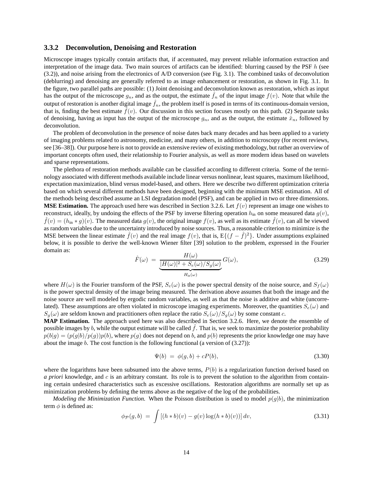#### **3.3.2 Deconvolution, Denoising and Restoration**

Microscope images typically contain artifacts that, if accentuated, may prevent reliable information extraction and interpretation of the image data. Two main sources of artifacts can be identified: blurring caused by the PSF h (see (3.2)), and noise arising from the electronics of A/D conversion (see Fig. 3.1). The combined tasks of deconvolution (deblurring) and denoising are generally referred to as image enhancement or restoration, as shown in Fig. 3.1. In the figure, two parallel paths are possible: (1) Joint denoising and deconvolution known as restoration, which as input has the output of the microscope  $g_n$ , and as the output, the estimate  $\tilde{f}_n$  of the input image  $f(v)$ . Note that while the output of restoration is another digital image  $\hat{f}_n$ , the problem itself is posed in terms of its continuous-domain version, that is, finding the best estimate  $f(v)$ . Our discussion in this section focuses mostly on this path. (2) Separate tasks of denoising, having as input has the output of the microscope  $g_n$ , and as the output, the estimate  $\hat{x}_n$ , followed by deconvolution.

The problem of deconvolution in the presence of noise dates back many decades and has been applied to a variety of imaging problems related to astronomy, medicine, and many others, in addition to microscopy (for recent reviews, see [36–38]). Our purpose here is not to provide an extensive review of existing methodology, but rather an overview of important concepts often used, their relationship to Fourier analysis, as well as more modern ideas based on wavelets and sparse representations.

The plethora of restoration methods available can be classified according to different criteria. Some of the terminology associated with different methods available include linear versus nonlinear, least squares, maximum likelihood, expectation maximization, blind versus model-based, and others. Here we describe two different optimization criteria based on which several different methods have been designed, beginning with the minimum MSE estimation. All of the methods being described assume an LSI degradation model (PSF), and can be applied in two or three dimensions. **MSE Estimation.** The approach used here was described in Section 3.2.6. Let  $f(v)$  represent an image one wishes to reconstruct, ideally, by undoing the effects of the PSF by inverse filtering operation  $h_{\text{in}}$  on some measured data  $g(v)$ ,  $\hat{f}(v) = (h_{\text{in}} * g)(v)$ . The measured data  $g(v)$ , the original image  $f(v)$ , as well as its estimate  $\hat{f}(v)$ , can all be viewed as random variables due to the uncertainty introduced by noise sources. Thus, a reasonable criterion to minimize is the MSE between the linear estimate  $\hat{f}(v)$  and the real image  $f(v)$ , that is, E{ $(f - \hat{f})^2$ }. Under assumptions explained below, it is possible to derive the well-known Wiener filter [39] solution to the problem, expressed in the Fourier domain as:

$$
\hat{F}(\omega) = \frac{H(\omega)}{|H(\omega)|^2 + S_e(\omega)/S_g(\omega)} G(\omega),
$$
\n(3.29)

where  $H(\omega)$  is the Fourier transform of the PSF,  $S_e(\omega)$  is the power spectral density of the noise source, and  $S_f(\omega)$ is the power spectral density of the image being measured. The derivation above assumes that both the image and the noise source are well modeled by ergodic random variables, as well as that the noise is additive and white (uncorrelated). These assumptions are often violated in microscope imaging experiments. Moreover, the quantities  $S_e(\omega)$  and  $S_q(\omega)$  are seldom known and practitioners often replace the ratio  $S_q(\omega)/S_q(\omega)$  by some constant c.

**MAP Estimation.** The approach used here was also described in Section 3.2.6. Here, we denote the ensemble of possible images by b, while the output estimate will be called  $\hat{f}$ . That is, we seek to maximize the posterior probability  $p(b|g) = (p(g|b)/p(g))p(b)$ , where  $p(g)$  does not depend on b, and  $p(b)$  represents the prior knowledge one may have about the image b. The cost function is the following functional (a version of  $(3.27)$ ):

$$
\Psi(b) = \phi(g, b) + cP(b), \tag{3.30}
$$

where the logarithms have been subsumed into the above terms,  $P(b)$  is a regularization function derived based on *a priori* knowledge, and  $c$  is an arbitrary constant. Its role is to prevent the solution to the algorithm from containing certain undesired characteristics such as excessive oscillations. Restoration algorithms are normally set up as minimization problems by defining the terms above as the negative of the log of the probabilities.

*Modeling the Minimization Function.* When the Poisson distribution is used to model  $p(g|b)$ , the minimization term  $\phi$  is defined as:

$$
\phi_{\mathcal{P}}(g, b) = \int [(h * b)(v) - g(v) \log(h * b)(v))] dv,
$$
\n(3.31)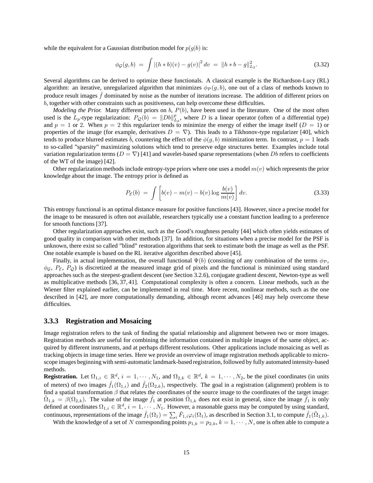while the equivalent for a Gaussian distribution model for  $p(q|b)$  is:

$$
\phi_{\mathcal{G}}(g, b) = \int |(h * b)(v) - g(v)|^2 dv = ||h * b - g||_{L_2}^2.
$$
\n(3.32)

Several algorithms can be derived to optimize these functionals. A classical example is the Richardson-Lucy (RL) algorithm: an iterative, unregularized algorithm that minimizes  $\phi_{\mathcal{P}}(q, b)$ , one out of a class of methods known to produce result images  $\hat{f}$  dominated by noise as the number of iterations increase. The addition of different priors on b, together with other constraints such as positiveness, can help overcome these difficulties.

*Modeling the Prior.* Many different priors on  $b$ ,  $P(b)$ , have been used in the literature. One of the most often used is the  $L_p$ -type regularization:  $P_Q(b) = ||Db||_{L_p}^p$ , where D is a linear operator (often of a differential type) and  $p = 1$  or 2. When  $p = 2$  this regularizer tends to minimize the energy of either the image itself ( $D = 1$ ) or properties of the image (for example, derivatives  $D = \nabla$ ). This leads to a Tikhonov-type regularizer [40], which tends to produce blurred estimates b, countering the effect of the  $\phi(q, b)$  minimization term. In contrast,  $p = 1$  leads to so-called "sparsity" maximizing solutions which tend to preserve edge structures better. Examples include total variation regularization terms ( $D = \nabla$ ) [41] and wavelet-based sparse representations (when Db refers to coefficients of the WT of the image) [42].

Other regularization methods include entropy-type priors where one uses a model  $m(v)$  which represents the prior knowledge about the image. The entropy prior is defined as

$$
P_{\mathcal{E}}(b) = \int \left[ b(v) - m(v) - b(v) \log \frac{b(v)}{m(v)} \right] dv.
$$
 (3.33)

This entropy functional is an optimal distance measure for positive functions [43]. However, since a precise model for the image to be measured is often not available, researchers typically use a constant function leading to a preference for smooth functions [37].

Other regularization approaches exist, such as the Good's roughness penalty [44] which often yields estimates of good quality in comparison with other methods [37]. In addition, for situations when a precise model for the PSF is unknown, there exist so called "blind" restoration algorithms that seek to estimate both the image as well as the PSF. One notable example is based on the RL iterative algorithm described above [45].

Finally, in actual implementation, the overall functional  $\Psi(b)$  (consisting of any combination of the terms  $\phi_{\mathcal{P}}$ ,  $\phi$ g,  $P$ g,  $P$ Q) is discretized at the measured image grid of pixels and the functional is minimized using standard approaches such as the steepest-gradient descent (see Section 3.2.6), conjugate gradient descent, Newton-type as well as multiplicative methods [36, 37, 41]. Computational complexity is often a concern. Linear methods, such as the Wiener filter explained earlier, can be implemented in real time. More recent, nonlinear methods, such as the one described in [42], are more computationally demanding, although recent advances [46] may help overcome these difficulties.

#### **3.3.3 Registration and Mosaicing**

Image registration refers to the task of finding the spatial relationship and alignment between two or more images. Registration methods are useful for combining the information contained in multiple images of the same object, acquired by different instruments, and at perhaps different resolutions. Other applications include mosaicing as well as tracking objects in image time series. Here we provide an overview of image registration methods applicable to microscope images beginning with semi-automatic landmark-based registration, followed by fully automated intensity-based methods.

**Registration.** Let  $\Omega_{1,i} \in \mathbb{R}^d$ ,  $i = 1, \dots, N_1$ , and  $\Omega_{2,k} \in \mathbb{R}^d$ ,  $k = 1, \dots, N_2$ , be the pixel coordinates (in units of meters) of two images  $\hat{f}_1(\Omega_{1,i})$  and  $\hat{f}_2(\Omega_{2,k})$ , respectively. The goal in a registration (alignment) problem is to find a spatial transformation  $\beta$  that relates the coordinates of the source image to the coordinates of the target image:  $\tilde{\Omega}_{1,k} = \beta(\Omega_{2,k})$ . The value of the image  $\hat{f}_1$  at position  $\tilde{\Omega}_{1,k}$  does not exist in general, since the image  $\hat{f}_1$  is only defined at coordinates  $\Omega_{1,i} \in \mathbb{R}^d$ ,  $i = 1, \dots, N_1$ . However, a reasonable guess may be computed by using standard, continuous, representations of the image  $\hat{f}_1(\Omega_1) = \sum_i \hat{F}_{1,i} \varphi_i(\Omega_1)$ , as described in Section 3.1, to compute  $\hat{f}_1(\tilde{\Omega}_{1,k})$ .

With the knowledge of a set of N corresponding points  $p_{1,k} = p_{2,k}$ ,  $k = 1, \dots, N$ , one is often able to compute a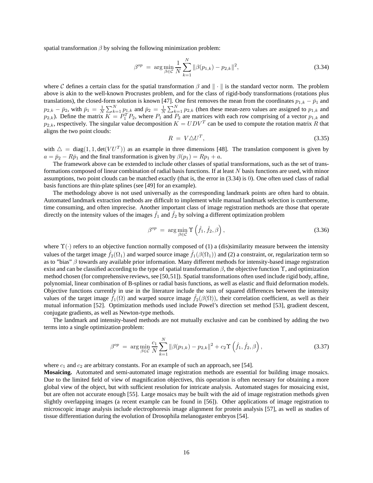spatial transformation  $\beta$  by solving the following minimization problem:

$$
\beta^{op} = \arg \min_{\beta \in \mathcal{C}} \frac{1}{N} \sum_{k=1}^{N} ||\beta(p_{1,k}) - p_{2,k}||^2,
$$
\n(3.34)

where C defines a certain class for the spatial transformation  $\beta$  and  $\|\cdot\|$  is the standard vector norm. The problem above is akin to the well-known Procrustes problem, and for the class of rigid-body transformations (rotations plus translations), the closed-form solution is known [47]. One first removes the mean from the coordinates  $p_{1,k} - \bar{p}_1$  and  $p_{2,k} - \bar{p}_2$ , with  $\bar{p}_1 = \frac{1}{N} \sum_{k=1}^{N} \frac{p_{1,k}}{p_{2,k}}$  and  $\bar{p}_2 = \frac{1}{N} \sum_{k=1}^{N} p_{2,k}$  (then these mean-zero values are assigned to  $p_{1,k}$  and  $(p_{2,k})$ . Define the matrix  $K = P_1^T P_2$ , where  $P_1$  and  $P_2$  are matrices with each row comprising of a vector  $p_{1,k}$  and  $p_{2,k}$ , respectively. The singular value decomposition  $K = U D V^T$  can be used to compute the rotation matrix R that aligns the two point clouds:

$$
R = V \triangle U^T, \tag{3.35}
$$

with  $\Delta = \text{diag}(1, 1, \text{det}(VU^T))$  as an example in three dimensions [48]. The translation component is given by  $a = \bar{p}_2 - R\bar{p}_1$  and the final transformation is given by  $\beta(p_1) = Rp_1 + a$ .

The framework above can be extended to include other classes of spatial transformations, such as the set of transformations composed of linear combination of radial basis functions. If at least  $N$  basis functions are used, with minor assumptions, two point clouds can be matched exactly (that is, the error in (3.34) is 0). One often used class of radial basis functions are thin-plate splines (see [49] for an example).

The methodology above is not used universally as the corresponding landmark points are often hard to obtain. Automated landmark extraction methods are difficult to implement while manual landmark selection is cumbersome, time consuming, and often imprecise. Another important class of image registration methods are those that operate directly on the intensity values of the images  $\hat{f}_1$  and  $\hat{f}_2$  by solving a different optimization problem

$$
\beta^{op} = \arg\min_{\beta \in \mathcal{C}} \Upsilon\left(\hat{f}_1, \hat{f}_2, \beta\right),\tag{3.36}
$$

where  $\Upsilon(\cdot)$  refers to an objective function normally composed of (1) a (dis)similarity measure between the intensity values of the target image  $\hat{f}_2(\Omega_1)$  and warped source image  $\hat{f}_1(\beta(\Omega_1))$  and (2) a constraint, or, regularization term so as to "bias"  $\beta$  towards any available prior information. Many different methods for intensity-based image registration exist and can be classified according to the type of spatial transformation  $\beta$ , the objective function  $\Upsilon$ , and optimization method chosen (for comprehensive reviews, see [50,51]). Spatial transformations often used include rigid body, affine, polynomial, linear combination of B-splines or radial basis functions, as well as elastic and fluid deformation models. Objective functions currently in use in the literature include the sum of squared differences between the intensity values of the target image  $\hat{f}_1(\Omega)$  and warped source image  $\hat{f}_2(\beta(\Omega))$ , their correlation coefficient, as well as their mutual information [52]. Optimization methods used include Powel's direction set method [53], gradient descent, conjugate gradients, as well as Newton-type methods.

The landmark and intensity-based methods are not mutually exclusive and can be combined by adding the two terms into a single optimization problem:

$$
\beta^{op} = \arg \min_{\beta \in \mathcal{C}} \frac{c_1}{N} \sum_{k=1}^{N} ||\beta(p_{1,k}) - p_{2,k}||^2 + c_2 \Upsilon \left(\hat{f}_1, \hat{f}_2, \beta\right), \tag{3.37}
$$

where  $c_1$  and  $c_2$  are arbitrary constants. For an example of such an approach, see [54].

**Mosaicing.** Automated and semi-automated image registration methods are essential for building image mosaics. Due to the limited field of view of magnification objectives, this operation is often necessary for obtaining a more global view of the object, but with sufficient resolution for intricate analysis. Automated stages for mosaicing exist, but are often not accurate enough [55]. Large mosaics may be built with the aid of image registration methods given slightly overlapping images (a recent example can be found in [56]). Other applications of image registration to microscopic image analysis include electrophoresis image alignment for protein analysis [57], as well as studies of tissue differentiation during the evolution of Drosophila melanogaster embryos [54].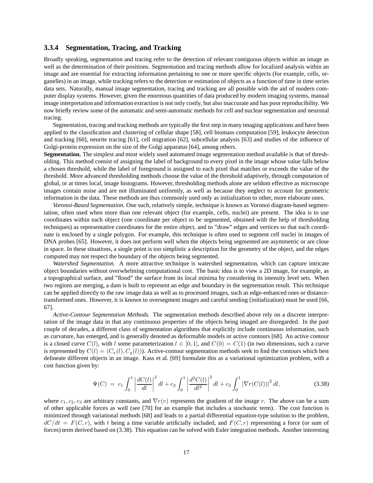#### **3.3.4 Segmentation, Tracing, and Tracking**

Broadly speaking, segmentation and tracing refer to the detection of relevant contiguous objects within an image as well as the determination of their positions. Segmentation and tracing methods allow for localized analysis within an image and are essential for extracting information pertaining to one or more specific objects (for example, cells, organelles) in an image, while tracking refers to the detection or estimation of objects as a function of time in time series data sets. Naturally, manual image segmentation, tracing and tracking are all possible with the aid of modern computer display systems. However, given the enormous quantities of data produced by modern imaging systems, manual image interpretation and information extraction is not only costly, but also inaccurate and has poor reproducibility. We now briefly review some of the automatic and semi-automatic methods for cell and nuclear segmentation and neuronal tracing.

Segmentation, tracing and tracking methods are typically the first step in many imaging applications and have been applied to the classification and clustering of cellular shape [58], cell biomass computation [59], leukocyte detection and tracking [60], neurite tracing [61], cell migration [62], subcellular analysis [63] and studies of the influence of Golgi-protein expression on the size of the Golgi apparatus [64], among others.

**Segmentation.** The simplest and most widely used automated image segmentation method available is that of thresholding. This method consist of assigning the label of background to every pixel in the image whose value falls below a chosen threshold, while the label of foreground is assigned to each pixel that matches or exceeds the value of the threshold. More advanced thresholding methods choose the value of the threshold adaptively, through computation of global, or at times local, image histograms. However, thresholding methods alone are seldom effective as microscope images contain noise and are not illuminated uniformly, as well as because they neglect to account for geometric information in the data. These methods are thus commonly used only as initialization to other, more elaborate ones.

*Voronoi-Based Segmentation.* One such, relatively simple, technique is known as Voronoi diagram-based segmentation, often used when more than one relevant object (for example, cells, nuclei) are present. The idea is to use coordinates within each object (one coordinate per object to be segmented, obtained with the help of thresholding techniques) as representative coordinates for the entire object, and to "draw" edges and vertices so that each coordinate is enclosed by a single polygon. For example, this technique is often used to segment cell nuclei in images of DNA probes [65]. However, it does not perform well when the objects being segmented are asymmetric or are close in space. In these situations, a single point is too simplistic a description for the geometry of the object, and the edges computed may not respect the boundary of the objects being segmented.

*Watershed Segmentation.* A more attractive technique is watershed segmentation, which can capture intricate object boundaries without overwhelming computational cost. The basic idea is to view a 2D image, for example, as a topographical surface, and "flood" the surface from its local minima by considering its intensity level sets. When two regions are merging, a dam is built to represent an edge and boundary in the segmentation result. This technique can be applied directly to the raw image data as well as to processed images, such as edge-enhanced ones or distancetransformed ones. However, it is known to oversegment images and careful seeding (initialization) must be used [66, 67].

*Active-Contour Segmentation Methods.* The segmentation methods described above rely on a discrete interpretation of the image data in that any continuous properties of the objects being imaged are disregarded. In the past couple of decades, a different class of segmentation algorithms that explicitly include continuous information, such as curvature, has emerged, and is generally denoted as deformable models or active contours [68]. An active contour is a closed curve  $C(l)$ , with l some parameterization  $l \in [0, 1]$ , and  $C(0) = C(1)$  (in two dimensions, such a curve is represented by  $C(l) = (C_x(l), C_y(l))$ . Active-contour segmentation methods seek to find the contours which best delineate different objects in an image. Kass et al. [69] formulate this as a variational optimization problem, with a cost function given by:

$$
\Psi(C) \ = \ c_1 \int_0^1 \left| \frac{dC(l)}{dl} \right|^2 dl + c_2 \int_0^1 \left| \frac{d^2C(l)}{dl^2} \right|^2 dl + c_3 \int_0^1 |\nabla r(C(l))|^2 dl,\tag{3.38}
$$

where  $c_1, c_2, c_3$  are arbitrary constants, and  $\nabla r(v)$  represents the gradient of the image r. The above can be a sum of other applicable forces as well (see [70] for an example that includes a stochastic term). The cost function is minimized through variational methods [68] and leads to a partial differential equation-type solution to the problem,  $dC/dt = F(C, r)$ , with t being a time variable artificially included, and  $F(C, r)$  representing a force (or sum of forces) term derived based on (3.38). This equation can be solved with Euler integration methods. Another interesting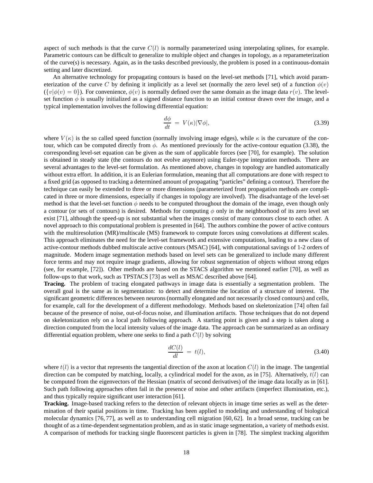aspect of such methods is that the curve  $C(l)$  is normally parameterized using interpolating splines, for example. Parametric contours can be difficult to generalize to multiple object and changes in topology, as a reparameterization of the curve(s) is necessary. Again, as in the tasks described previously, the problem is posed in a continuous-domain setting and later discretized.

An alternative technology for propagating contours is based on the level-set methods [71], which avoid parameterization of the curve C by defining it implicitly as a level set (normally the zero level set) of a function  $\phi(v)$  $({v|\phi(v) = 0})$ . For convenience,  $\phi(v)$  is normally defined over the same domain as the image data  $r(v)$ . The levelset function  $\phi$  is usually initialized as a signed distance function to an initial contour drawn over the image, and a typical implementation involves the following differential equation:

$$
\frac{d\phi}{dt} = V(\kappa)|\nabla\phi|,\tag{3.39}
$$

where  $V(\kappa)$  is the so called speed function (normally involving image edges), while  $\kappa$  is the curvature of the contour, which can be computed directly from  $\phi$ . As mentioned previously for the active-contour equation (3.38), the corresponding level-set equation can be given as the sum of applicable forces (see [70], for example). The solution is obtained in steady state (the contours do not evolve anymore) using Euler-type integration methods. There are several advantages to the level-set formulation. As mentioned above, changes in topology are handled automatically without extra effort. In addition, it is an Eulerian formulation, meaning that all computations are done with respect to a fixed grid (as opposed to tracking a determined amount of propagating "particles" defining a contour). Therefore the technique can easily be extended to three or more dimensions (parameterized front propagation methods are complicated in three or more dimensions, especially if changes in topology are involved). The disadvantage of the level-set method is that the level-set function  $\phi$  needs to be computed throughout the domain of the image, even though only a contour (or sets of contours) is desired. Methods for computing  $\phi$  only in the neighborhood of its zero level set exist [71], although the speed-up is not substantial when the images consist of many contours close to each other. A novel approach to this computational problem is presented in [64]. The authors combine the power of active contours with the multiresolution (MR)/multiscale (MS) framework to compute forces using convolutions at different scales. This approach eliminates the need for the level-set framework and extensive computations, leading to a new class of active-contour methods dubbed multiscale active contours (MSAC) [64], with computational savings of 1-2 orders of magnitude. Modern image segmentation methods based on level sets can be generalized to include many different force terms and may not require image gradients, allowing for robust segmentation of objects without strong edges (see, for example, [72]). Other methods are based on the STACS algorithm we mentioned earlier [70], as well as follow-ups to that work, such as TPSTACS [73] as well as MSAC described above [64].

**Tracing.** The problem of tracing elongated pathways in image data is essentially a segmentation problem. The overall goal is the same as in segmentation: to detect and determine the location of a structure of interest. The significant geometric differences between neurons (normally elongated and not necessarily closed contours) and cells, for example, call for the development of a different methodology. Methods based on skeletonization [74] often fail because of the presence of noise, out-of-focus noise, and illumination artifacts. Those techniques that do not depend on skeletonization rely on a local path following approach. A starting point is given and a step is taken along a direction computed from the local intensity values of the image data. The approach can be summarized as an ordinary differential equation problem, where one seeks to find a path  $C(l)$  by solving

$$
\frac{dC(l)}{dl} = t(l),\tag{3.40}
$$

where  $t(l)$  is a vector that represents the tangential direction of the axon at location  $C(l)$  in the image. The tangential direction can be computed by matching, locally, a cylindrical model for the axon, as in [75]. Alternatively,  $t(l)$  can be computed from the eigenvectors of the Hessian (matrix of second derivatives) of the image data locally as in [61]. Such path following approaches often fail in the presence of noise and other artifacts (imperfect illumination, etc.), and thus typically require significant user interaction [61].

**Tracking.** Image-based tracking refers to the detection of relevant objects in image time series as well as the determination of their spatial positions in time. Tracking has been applied to modeling and understanding of biological molecular dynamics [76, 77], as well as to understanding cell migration [60, 62]. In a broad sense, tracking can be thought of as a time-dependent segmentation problem, and as in static image segmentation, a variety of methods exist. A comparison of methods for tracking single fluorescent particles is given in [78]. The simplest tracking algorithm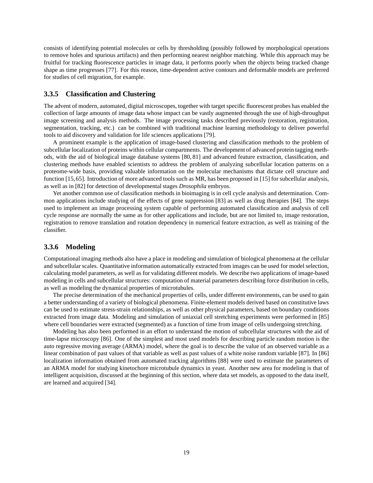consists of identifying potential molecules or cells by thresholding (possibly followed by morphological operations to remove holes and spurious artifacts) and then performing nearest neighbor matching. While this approach may be fruitful for tracking fluorescence particles in image data, it performs poorly when the objects being tracked change shape as time progresses [77]. For this reason, time-dependent active contours and deformable models are preferred for studies of cell migration, for example.

#### **3.3.5 Classification and Clustering**

The advent of modern, automated, digital microscopes, together with target specific fluorescent probes has enabled the collection of large amounts of image data whose impact can be vastly augmented through the use of high-throughput image screening and analysis methods. The image processing tasks described previously (restoration, registration, segmentation, tracking, etc.) can be combined with traditional machine learning methodology to deliver powerful tools to aid discovery and validation for life sciences applications [79].

A prominent example is the application of image-based clustering and classification methods to the problem of subcellular localization of proteins within cellular compartments. The development of advanced protein tagging methods, with the aid of biological image database systems [80, 81] and advanced feature extraction, classification, and clustering methods have enabled scientists to address the problem of analyzing subcellular location patterns on a proteome-wide basis, providing valuable information on the molecular mechanisms that dictate cell structure and function [15,65]. Introduction of more advanced tools such as MR, has been proposed in [15] for subcellular analysis, as well as in [82] for detection of developmental stages *Drosophila* embryos.

Yet another common use of classification methods in bioimaging is in cell cycle analysis and determination. Common applications include studying of the effects of gene suppression [83] as well as drug therapies [84]. The steps used to implement an image processing system capable of performing automated classification and analysis of cell cycle response are normally the same as for other applications and include, but are not limited to, image restoration, registration to remove translation and rotation dependency in numerical feature extraction, as well as training of the classifier.

#### **3.3.6 Modeling**

Computational imaging methods also have a place in modeling and simulation of biological phenomena at the cellular and subcellular scales. Quantitative information automatically extracted from images can be used for model selection, calculating model parameters, as well as for validating different models. We describe two applications of image-based modeling in cells and subcellular structures: computation of material parameters describing force distribution in cells, as well as modeling the dynamical properties of microtubules.

The precise determination of the mechanical properties of cells, under different environments, can be used to gain a better understanding of a variety of biological phenomena. Finite-element models derived based on constitutive laws can be used to estimate stress-strain relationships, as well as other physical parameters, based on boundary conditions extracted from image data. Modeling and simulation of uniaxial cell stretching experiments were performed in [85] where cell boundaries were extracted (segmented) as a function of time from image of cells undergoing stretching.

Modeling has also been performed in an effort to understand the motion of subcellular structures with the aid of time-lapse microscopy [86]. One of the simplest and most used models for describing particle random motion is the auto regressive moving average (ARMA) model, where the goal is to describe the value of an observed variable as a linear combination of past values of that variable as well as past values of a white noise random variable [87]. In [86] localization information obtained from automated tracking algorithms [88] were used to estimate the parameters of an ARMA model for studying kinetochore microtubule dynamics in yeast. Another new area for modeling is that of intelligent acquisition, discussed at the beginning of this section, where data set models, as opposed to the data itself, are learned and acquired [34].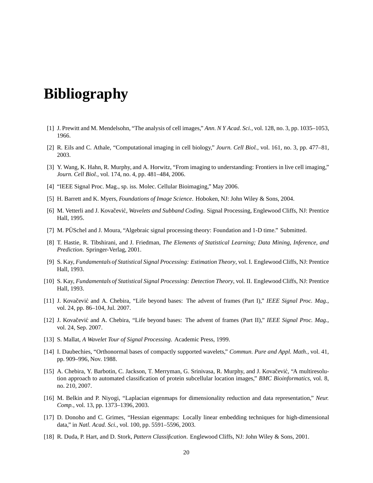# **Bibliography**

- [1] J. Prewitt and M. Mendelsohn, "The analysis of cell images," *Ann. N Y Acad. Sci.*, vol. 128, no. 3, pp. 1035–1053, 1966.
- [2] R. Eils and C. Athale, "Computational imaging in cell biology," *Journ. Cell Biol.*, vol. 161, no. 3, pp. 477–81, 2003.
- [3] Y. Wang, K. Hahn, R. Murphy, and A. Horwitz, "From imaging to understanding: Frontiers in live cell imaging," *Journ. Cell Biol.*, vol. 174, no. 4, pp. 481–484, 2006.
- [4] "IEEE Signal Proc. Mag., sp. iss. Molec. Cellular Bioimaging," May 2006.
- [5] H. Barrett and K. Myers, *Foundations of Image Science*. Hoboken, NJ: John Wiley & Sons, 2004.
- [6] M. Vetterli and J. Kovačević, *Wavelets and Subband Coding*. Signal Processing, Englewood Cliffs, NJ: Prentice Hall, 1995.
- [7] M. PUSchel and J. Moura, "Algebraic signal processing theory: Foundation and 1-D time." Submitted.
- [8] T. Hastie, R. Tibshirani, and J. Friedman, *The Elements of Statistical Learning; Data Mining, Inference, and Prediction*. Springer-Verlag, 2001.
- [9] S. Kay, *Fundamentals of Statistical Signal Processing: Estimation Theory*, vol. I. Englewood Cliffs, NJ: Prentice Hall, 1993.
- [10] S. Kay, *Fundamentals of Statistical Signal Processing: Detection Theory*, vol. II. Englewood Cliffs, NJ: Prentice Hall, 1993.
- [11] J. Kovačević and A. Chebira, "Life beyond bases: The advent of frames (Part I)," *IEEE Signal Proc. Mag.*, vol. 24, pp. 86–104, Jul. 2007.
- [12] J. Kovačević and A. Chebira, "Life beyond bases: The advent of frames (Part II)," *IEEE Signal Proc. Mag.*, vol. 24, Sep. 2007.
- [13] S. Mallat, *A Wavelet Tour of Signal Processing*. Academic Press, 1999.
- [14] I. Daubechies, "Orthonormal bases of compactly supported wavelets," *Commun. Pure and Appl. Math.*, vol. 41, pp. 909–996, Nov. 1988.
- [15] A. Chebira, Y. Barbotin, C. Jackson, T. Merryman, G. Srinivasa, R. Murphy, and J. Kovačević, "A multiresolution approach to automated classification of protein subcellular location images," *BMC Bioinformatics*, vol. 8, no. 210, 2007.
- [16] M. Belkin and P. Niyogi, "Laplacian eigenmaps for dimensionality reduction and data representation," *Neur. Comp.*, vol. 13, pp. 1373–1396, 2003.
- [17] D. Donoho and C. Grimes, "Hessian eigenmaps: Locally linear embedding techniques for high-dimensional data," in *Natl. Acad. Sci.*, vol. 100, pp. 5591–5596, 2003.
- [18] R. Duda, P. Hart, and D. Stork, *Pattern Classification*. Englewood Cliffs, NJ: John Wiley & Sons, 2001.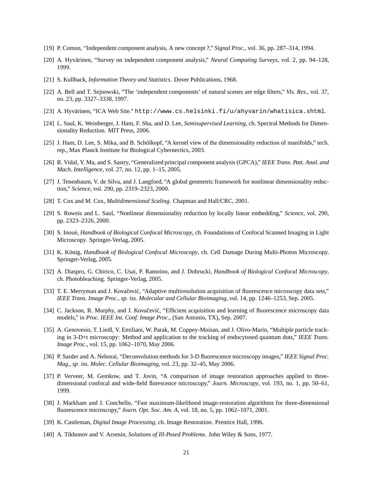- [19] P. Comon, "Independent component analysis, A new concept ?," *Signal Proc.*, vol. 36, pp. 287–314, 1994.
- [20] A. Hyvärinen, "Survey on independent component analysis," *Neural Computing Surveys*, vol. 2, pp. 94–128, 1999.
- [21] S. Kullback, *Information Theory and Statistics*. Dover Publications, 1968.
- [22] A. Bell and T. Sejnowski, "The 'independent components' of natural scenes are edge filters," *Vis. Res.*, vol. 37, no. 23, pp. 3327–3338, 1997.
- [23] A. Hyvärinen, "ICA Web Site." http://www.cs.helsinki.fi/u/ahyvarin/whatisica.shtml.
- [24] L. Saul, K. Weinberger, J. Ham, F. Sha, and D. Lee, *Semisupervised Learning*, ch. Spectral Methods for Dimensionality Reduction. MIT Press, 2006.
- [25] J. Ham, D. Lee, S. Mika, and B. Schölkopf, "A kernel view of the dimensionality reduction of manifolds," tech. rep., Max Planck Institute for Biological Cybernectics, 2003.
- [26] R. Vidal, Y. Ma, and S. Sastry, "Generalized principal component analysis (GPCA)," *IEEE Trans. Patt. Anal. and Mach. Intelligence*, vol. 27, no. 12, pp. 1–15, 2005.
- [27] J. Tenenbaum, V. de Silva, and J. Langford, "A global geometric framework for nonlinear dimensionality reduction," *Science*, vol. 290, pp. 2319–2323, 2000.
- [28] T. Cox and M. Cox, *Multidimensional Scaling*. Chapman and Hall/CRC, 2001.
- [29] S. Roweis and L. Saul, "Nonlinear dimensionality reduction by locally linear embedding," *Science*, vol. 290, pp. 2323–2326, 2000.
- [30] S. Inou´e, *Handbook of Biological Confocal Microscopy*, ch. Foundations of Confocal Scanned Imaging in Light Microscopy. Springer-Verlag, 2005.
- [31] K. König, *Handbook of Biological Confocal Microscopy*, ch. Cell Damage During Multi-Photon Microscopy. Springer-Verlag, 2005.
- [32] A. Diaspro, G. Chirico, C. Usai, P. Ramoino, and J. Dobrucki, *Handbook of Biological Confocal Microscopy*, ch. Photobleaching. Springer-Verlag, 2005.
- [33] T. E. Merryman and J. Kovačević, "Adaptive multiresolution acquisition of fluorescence microscopy data sets," *IEEE Trans. Image Proc., sp. iss. Molecular and Cellular Bioimaging*, vol. 14, pp. 1246–1253, Sep. 2005.
- [34] C. Jackson, R. Murphy, and J. Kovačević, "Efficient acquisition and learning of fluorescence microscopy data models," in *Proc. IEEE Int. Conf. Image Proc.*, (San Antonio, TX), Sep. 2007.
- [35] A. Genovesio, T. Liedl, V. Emiliani, W. Parak, M. Coppey-Moisan, and J. Olivo-Marin, "Multiple particle tracking in 3-D+t microscopy: Method and application to the tracking of endocytosed quantum dots," *IEEE Trans. Image Proc.*, vol. 15, pp. 1062–1070, May 2006.
- [36] P. Sarder and A. Nehorai, "Deconvolution methods for 3-D fluorescence microscopy images," *IEEE Signal Proc. Mag., sp. iss. Molec. Cellular Bioimaging*, vol. 23, pp. 32–45, May 2006.
- [37] P. Verveer, M. Gemkow, and T. Jovin, "A comparison of image restoration approaches applied to threedimensional confocal and wide-field florescence microscopy," *Journ. Microscopy*, vol. 193, no. 1, pp. 50–61, 1999.
- [38] J. Markham and J. Conchello, "Fast maximum-likelihood image-restoration algorithms for three-dimensional fluorescence microscopy," *Journ. Opt. Soc. Am. A*, vol. 18, no. 5, pp. 1062–1071, 2001.
- [39] K. Castleman, *Digital Image Processing*, ch. Image Restoration. Prentice Hall, 1996.
- [40] A. Tikhonov and V. Arsenin, *Solutions of Ill-Posed Problems*. John Wiley & Sons, 1977.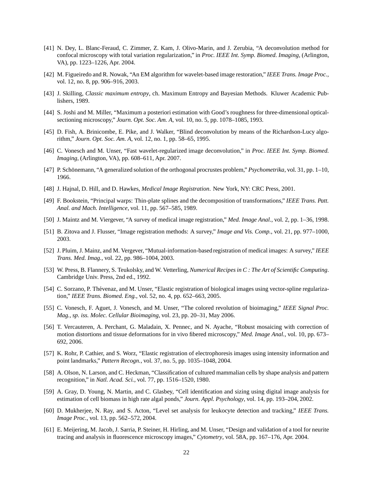- [41] N. Dey, L. Blanc-Feraud, C. Zimmer, Z. Kam, J. Olivo-Marin, and J. Zerubia, "A deconvolution method for confocal microscopy with total variation regularization," in *Proc. IEEE Int. Symp. Biomed. Imaging*, (Arlington, VA), pp. 1223–1226, Apr. 2004.
- [42] M. Figueiredo and R. Nowak, "An EM algorithm for wavelet-based image restoration," *IEEE Trans. Image Proc.*, vol. 12, no. 8, pp. 906–916, 2003.
- [43] J. Skilling, *Classic maximum entropy*, ch. Maximum Entropy and Bayesian Methods. Kluwer Academic Publishers, 1989.
- [44] S. Joshi and M. Miller, "Maximum a posteriori estimation with Good's roughness for three-dimensional opticalsectioning microscopy," *Journ. Opt. Soc. Am. A*, vol. 10, no. 5, pp. 1078–1085, 1993.
- [45] D. Fish, A. Brinicombe, E. Pike, and J. Walker, "Blind deconvolution by means of the Richardson-Lucy algorithm," *Journ. Opt. Soc. Am. A*, vol. 12, no. 1, pp. 58–65, 1995.
- [46] C. Vonesch and M. Unser, "Fast wavelet-regularized image deconvolution," in *Proc. IEEE Int. Symp. Biomed. Imaging*, (Arlington, VA), pp. 608–611, Apr. 2007.
- [47] P. Schönemann, "A generalized solution of the orthogonal procrustes problem," *Psychometrika*, vol. 31, pp. 1–10, 1966.
- [48] J. Hajnal, D. Hill, and D. Hawkes, *Medical Image Registration*. New York, NY: CRC Press, 2001.
- [49] F. Bookstein, "Principal warps: Thin-plate splines and the decomposition of transformations," *IEEE Trans. Patt. Anal. and Mach. Intelligence*, vol. 11, pp. 567–585, 1989.
- [50] J. Maintz and M. Viergever, "A survey of medical image registration," *Med. Image Anal.*, vol. 2, pp. 1–36, 1998.
- [51] B. Zitova and J. Flusser, "Image registration methods: A survey," *Image and Vis. Comp.*, vol. 21, pp. 977–1000, 2003.
- [52] J. Pluim, J. Mainz, and M. Vergever, "Mutual-information-based registration of medical images: A survey," *IEEE Trans. Med. Imag.*, vol. 22, pp. 986–1004, 2003.
- [53] W. Press, B. Flannery, S. Teukolsky, and W. Vetterling, *Numerical Recipes in C : The Art of Scientific Computing*. Cambridge Univ. Press, 2nd ed., 1992.
- [54] C. Sorzano, P. Thévenaz, and M. Unser, "Elastic registration of biological images using vector-spline regularization," *IEEE Trans. Biomed. Eng.*, vol. 52, no. 4, pp. 652–663, 2005.
- [55] C. Vonesch, F. Aguet, J. Vonesch, and M. Unser, "The colored revolution of bioimaging," *IEEE Signal Proc. Mag., sp. iss. Molec. Cellular Bioimaging*, vol. 23, pp. 20–31, May 2006.
- [56] T. Vercauteren, A. Perchant, G. Maladain, X. Pennec, and N. Ayache, "Robust mosaicing with correction of motion distortions and tissue deformations for in vivo fibered microscopy," *Med. Image Anal.*, vol. 10, pp. 673– 692, 2006.
- [57] K. Rohr, P. Cathier, and S. Worz, "Elastic registration of electrophoresis images using intensity information and point landmarks," *Pattern Recogn.*, vol. 37, no. 5, pp. 1035–1048, 2004.
- [58] A. Olson, N. Larson, and C. Heckman, "Classification of cultured mammalian cells by shape analysis and pattern recognition," in *Natl. Acad. Sci.*, vol. 77, pp. 1516–1520, 1980.
- [59] A. Gray, D. Young, N. Martin, and C. Glasbey, "Cell identification and sizing using digital image analysis for estimation of cell biomass in high rate algal ponds," *Journ. Appl. Psychology*, vol. 14, pp. 193–204, 2002.
- [60] D. Mukherjee, N. Ray, and S. Acton, "Level set analysis for leukocyte detection and tracking," *IEEE Trans. Image Proc.*, vol. 13, pp. 562–572, 2004.
- [61] E. Meijering, M. Jacob, J. Sarria, P. Steiner, H. Hirling, and M. Unser, "Design and validation of a tool for neurite tracing and analysis in fluorescence microscopy images," *Cytometry*, vol. 58A, pp. 167–176, Apr. 2004.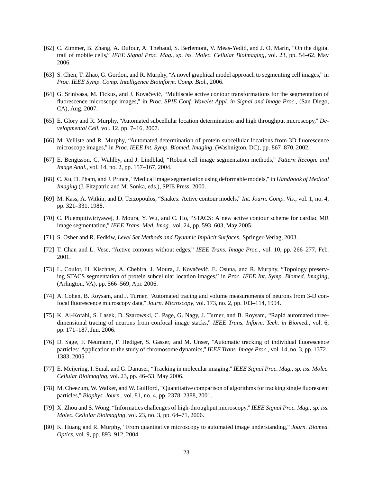- [62] C. Zimmer, B. Zhang, A. Dufour, A. Thebaud, S. Berlemont, V. Meas-Yedid, and J. O. Marin, "On the digital trail of mobile cells," *IEEE Signal Proc. Mag., sp. iss. Molec. Cellular Bioimaging*, vol. 23, pp. 54–62, May 2006.
- [63] S. Chen, T. Zhao, G. Gordon, and R. Murphy, "A novel graphical model approach to segmenting cell images," in *Proc. IEEE Symp. Comp. Intelligence Bioinform. Comp. Biol.*, 2006.
- [64] G. Srinivasa, M. Fickus, and J. Kovačević, "Multiscale active contour transformations for the segmentation of fluorescence microscope images," in *Proc. SPIE Conf. Wavelet Appl. in Signal and Image Proc.*, (San Diego, CA), Aug. 2007.
- [65] E. Glory and R. Murphy, "Automated subcellular location determination and high throughput microscopy," *Developmental Cell*, vol. 12, pp. 7–16, 2007.
- [66] M. Velliste and R. Murphy, "Automated determination of protein subcellular locations from 3D fluorescence microscope images," in *Proc. IEEE Int. Symp. Biomed. Imaging*, (Washnigton, DC), pp. 867–870, 2002.
- [67] E. Bengtsson, C. Wählby, and J. Lindblad, "Robust cell image segmentation methods," Pattern Recogn. and *Image Anal.*, vol. 14, no. 2, pp. 157–167, 2004.
- [68] C. Xu, D. Pham, and J. Prince, "Medical image segmentation using deformable models," in *Handbook of Medical Imaging* (*J. Fitzpatric and M. Sonka, eds.*), *SPIE Press, 2000.*
- [69] M. Kass, A. Witkin, and D. Terzopoulos, "Snakes: Active contour models," *Int. Journ. Comp. Vis.*, vol. 1, no. 4, pp. 321–331, 1988.
- [70] C. Pluempitiwiriyawej, J. Moura, Y. Wu, and C. Ho, "STACS: A new active contour scheme for cardiac MR image segmentation," *IEEE Trans. Med. Imag.*, vol. 24, pp. 593–603, May 2005.
- [71] S. Osher and R. Fedkiw, *Level Set Methods and Dynamic Implicit Surfaces*. Springer-Verlag, 2003.
- [72] T. Chan and L. Vese, "Active contours without edges," *IEEE Trans. Image Proc.*, vol. 10, pp. 266–277, Feb. 2001.
- [73] L. Coulot, H. Kischner, A. Chebira, J. Moura, J. Kovačević, E. Osuna, and R. Murphy, "Topology preserving STACS segmentation of protein subcellular location images," in *Proc. IEEE Int. Symp. Biomed. Imaging*, (Arlington, VA), pp. 566–569, Apr. 2006.
- [74] A. Cohen, B. Roysam, and J. Turner, "Automated tracing and volume measurements of neurons from 3-D confocal fluorescence microscopy data," *Journ. Microscopy*, vol. 173, no. 2, pp. 103–114, 1994.
- [75] K. Al-Kofahi, S. Lasek, D. Szarowski, C. Page, G. Nagy, J. Turner, and B. Roysam, "Rapid automated threedimensional tracing of neurons from confocal image stacks," *IEEE Trans. Inform. Tech. in Biomed.*, vol. 6, pp. 171–187, Jun. 2006.
- [76] D. Sage, F. Neumann, F. Hediger, S. Gasser, and M. Unser, "Automatic tracking of individual fluorescence particles: Application to the study of chromosome dynamics," *IEEE Trans. Image Proc.*, vol. 14, no. 3, pp. 1372– 1383, 2005.
- [77] E. Meijering, I. Smal, and G. Danuser, "Tracking in molecular imaging," *IEEE Signal Proc. Mag., sp. iss. Molec. Cellular Bioimaging*, vol. 23, pp. 46–53, May 2006.
- [78] M. Cheezum, W. Walker, and W. Guilford, "Quantitative comparison of algorithms for tracking single fluorescent particles," *Biophys. Journ.*, vol. 81, no. 4, pp. 2378–2388, 2001.
- [79] X. Zhou and S. Wong, "Informatics challenges of high-throughput microscopy," *IEEE Signal Proc. Mag., sp. iss. Molec. Cellular Bioimaging*, vol. 23, no. 3, pp. 64–71, 2006.
- [80] K. Huang and R. Murphy, "From quantitative microscopy to automated image understanding," *Journ. Biomed. Optics*, vol. 9, pp. 893–912, 2004.